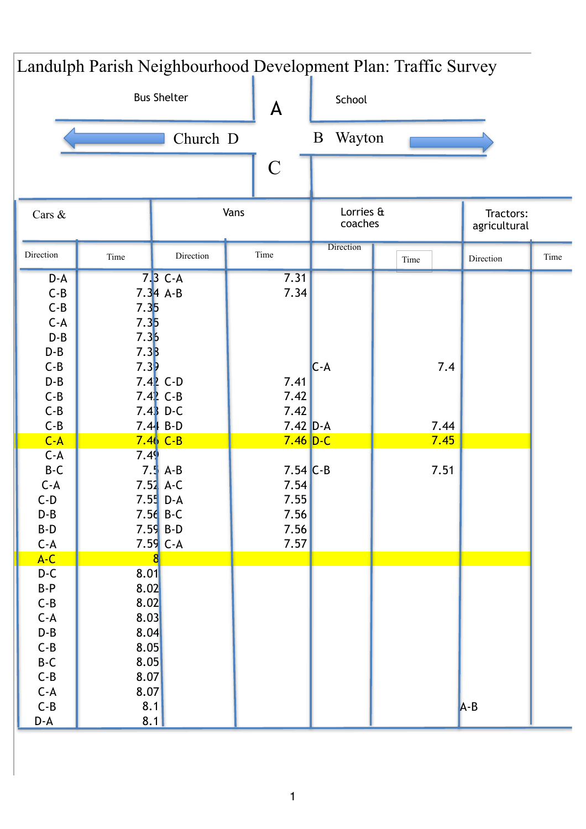|                                                                                                                            |                                                                                    |                                                                                                |                                      |                                       | Landulph Parish Neighbourhood Development Plan: Traffic Survey |                           |      |
|----------------------------------------------------------------------------------------------------------------------------|------------------------------------------------------------------------------------|------------------------------------------------------------------------------------------------|--------------------------------------|---------------------------------------|----------------------------------------------------------------|---------------------------|------|
|                                                                                                                            |                                                                                    | <b>Bus Shelter</b>                                                                             | A                                    | School                                |                                                                |                           |      |
|                                                                                                                            |                                                                                    | Church D                                                                                       |                                      | Wayton<br>B                           |                                                                |                           |      |
|                                                                                                                            |                                                                                    |                                                                                                | $\mathsf{C}$                         |                                       |                                                                |                           |      |
| Cars &                                                                                                                     |                                                                                    |                                                                                                | Vans                                 | Lorries &<br>coaches                  |                                                                | Tractors:<br>agricultural |      |
| Direction                                                                                                                  | Time                                                                               | Direction                                                                                      | Time                                 | Direction                             | Time                                                           | Direction                 | Time |
| D-A<br>$C - B$<br>$C - B$<br>$C-A$<br>$D - B$<br>$D - B$<br>$C - B$<br>$D - B$<br>$C - B$<br>$C - B$<br>$C - B$<br>$C - A$ | 7.35<br>7.35<br>7.36<br>7.3B<br>7.3                                                | $7.3C-A$<br>$7.34 A-B$<br>$7.42 C-D$<br>$7.42 C - B$<br>$7.4$ D-C<br>$7.4$ B-D<br>$7.46 C - B$ | 7.31<br>7.34<br>7.41<br>7.42<br>7.42 | $C - A$<br>$7.42$ D-A<br>$7.46$ $D-C$ | 7.4<br>7.44<br>7.45                                            |                           |      |
| $C-A$<br>$\mathsf{B}\text{-}\mathsf{C}$<br>$C-A$<br>$C-D$<br>$D - B$<br>$B-D$<br>$C-A$                                     | 7.49                                                                               | $7.5 A - B$<br>$7.52 A-C$<br>$7.55$ D-A<br>$7.56$ B-C<br>$7.59$ B-D<br>$7.59$ C-A              | 7.54<br>7.55<br>7.56<br>7.56<br>7.57 | $7.54$ C-B                            | 7.51                                                           |                           |      |
| $A-C$<br>D-C<br>B-P<br>$C - B$<br>$C-A$<br>$D - B$<br>$C - B$<br>B-C<br>$C - B$<br>$C-A$<br>$C - B$<br>D-A                 | 8.01<br>8.02<br>8.02<br>8.03<br>8.04<br>8.05<br>8.05<br>8.07<br>8.07<br>8.1<br>8.1 | 8                                                                                              |                                      |                                       |                                                                | $A - B$                   |      |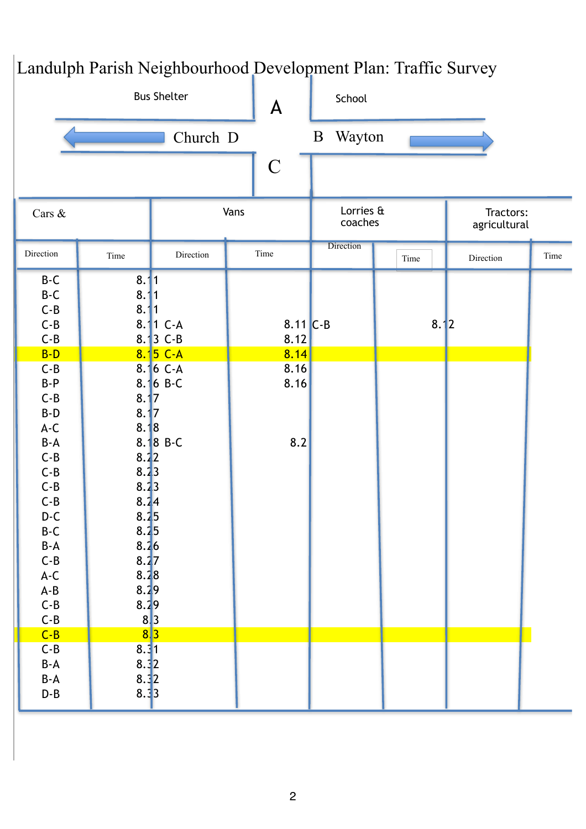|                                                                                                                                                                                                                                                                                |                                                                                                                                      |                                                                                                                                                  | Landulph Parish Neighbourhood Development Plan: Traffic Survey |                      |      |                           |      |
|--------------------------------------------------------------------------------------------------------------------------------------------------------------------------------------------------------------------------------------------------------------------------------|--------------------------------------------------------------------------------------------------------------------------------------|--------------------------------------------------------------------------------------------------------------------------------------------------|----------------------------------------------------------------|----------------------|------|---------------------------|------|
|                                                                                                                                                                                                                                                                                |                                                                                                                                      | <b>Bus Shelter</b>                                                                                                                               | A                                                              | School               |      |                           |      |
|                                                                                                                                                                                                                                                                                |                                                                                                                                      | Church D                                                                                                                                         |                                                                | Wayton<br>B          |      |                           |      |
|                                                                                                                                                                                                                                                                                |                                                                                                                                      |                                                                                                                                                  | $\mathcal{C}$                                                  |                      |      |                           |      |
| Cars &                                                                                                                                                                                                                                                                         |                                                                                                                                      |                                                                                                                                                  | Vans                                                           | Lorries &<br>coaches |      | Tractors:<br>agricultural |      |
| Direction                                                                                                                                                                                                                                                                      | Time                                                                                                                                 | Direction                                                                                                                                        | Time                                                           | Direction            | Time | Direction                 | Time |
| $B-C$<br>$B-C$<br>$C - B$<br>$C - B$<br>$C - B$<br>$B-D$<br>$C - B$<br>$B-P$<br>$C - B$<br>$B-D$<br>$A-C$<br>$B-A$<br>$C - B$<br>$C - B$<br>$C - B$<br>$C - B$<br>D-C<br>$B-C$<br>$B-A$<br>$C - B$<br>$A-C$<br>$\mathsf{A}\text{-}\mathsf{B}$<br>$C - B$<br>$C - B$<br>$C - B$ | 8.11<br>8.11<br>8.11<br>8.17<br>8.17<br>8.18<br>8.22<br>8.23<br>8.23<br>8.24<br>8.25<br>8.25<br>8.26<br>8.27<br>8.28<br>8.29<br>8.29 | $8.11 C-A$<br>$8.13 \text{ C-B}$<br>$8.15 C-A$<br>$8.16$ C-A<br>8.16 B-C<br>$8.18 B-C$<br>$\begin{array}{c c} 8 & 3 \\ \hline 8 & 3 \end{array}$ | $8.11$ C-B<br>8.12<br>8.14<br>8.16<br>8.16<br>8.2              |                      | 8.12 |                           |      |
| $C - B$<br>B-A<br>$B-A$<br>$D - B$                                                                                                                                                                                                                                             | 8.31<br>8.32<br>8.32<br>8.33                                                                                                         |                                                                                                                                                  |                                                                |                      |      |                           |      |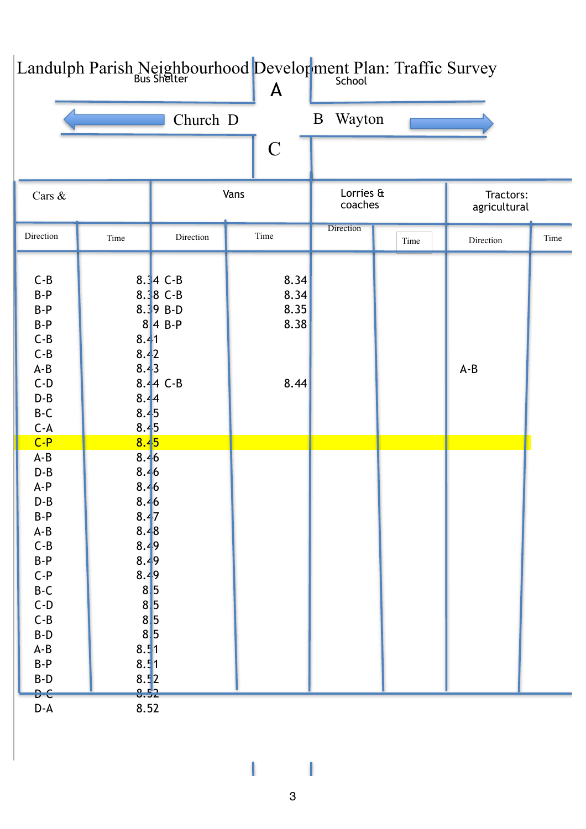|                                                                                                                                                                                                                                |                                                                                                      |                                                                                  | Landulph Parish Neighbourhood Development Plan: Traffic Survey<br>A |                      |      |                           |      |
|--------------------------------------------------------------------------------------------------------------------------------------------------------------------------------------------------------------------------------|------------------------------------------------------------------------------------------------------|----------------------------------------------------------------------------------|---------------------------------------------------------------------|----------------------|------|---------------------------|------|
|                                                                                                                                                                                                                                |                                                                                                      | Church D                                                                         |                                                                     | Wayton<br>B          |      |                           |      |
|                                                                                                                                                                                                                                |                                                                                                      |                                                                                  | $\mathcal{C}$                                                       |                      |      |                           |      |
| Cars &                                                                                                                                                                                                                         |                                                                                                      |                                                                                  | Vans                                                                | Lorries &<br>coaches |      | Tractors:<br>agricultural |      |
| Direction                                                                                                                                                                                                                      | Time                                                                                                 | Direction                                                                        | Time                                                                | Direction            | Time | Direction                 | Time |
| $C - B$<br>$B - P$<br>$B-P$<br>$B-P$<br>$C - B$<br>$C - B$<br>$A - B$<br>$C-D$<br>$D - B$<br>$B-C$<br>$C-A$                                                                                                                    | 8.41<br>8.42<br>8.43<br>8.44<br>8.45<br>8.45                                                         | $8.34 C-B$<br>8.38 C-B<br>$8.39 B-D$<br>$8$ 4 B-P<br>8.44 C-B                    | 8.34<br>8.34<br>8.35<br>8.38<br>8.44                                |                      |      | $A - B$                   |      |
| $C-P$<br>$A - B$                                                                                                                                                                                                               | 8.45<br>8.46                                                                                         |                                                                                  |                                                                     |                      |      |                           |      |
| $D - B$<br>$A - P$<br>$D - B$<br>$B-P$<br>$A - B$<br>$C - B$<br>$B-P$<br>$C-P$<br>$\mathsf{B}\text{-}\mathsf{C}$<br>$C-D$<br>$C - B$<br>$B-D$<br>$A - B$<br>$B-P$<br>$B-D$<br><del>D-C</del><br>$\mathsf{D}\text{-}\mathsf{A}$ | 8.46<br>8.46<br>8.46<br>8.47<br>8.48<br>8.49<br>8.49<br>8.49<br>8.51<br>8.51<br>8.52<br>8.52<br>8.52 | $\begin{array}{c} 8 \\ 8 \\ 5 \end{array}$<br>$8\overline{5}$<br>$8\overline{5}$ |                                                                     |                      |      |                           |      |

## $\begin{array}{c} \rule{0pt}{2.5ex} \rule{0pt}{2.5ex} \rule{0pt}{2.5ex} \rule{0pt}{2.5ex} \rule{0pt}{2.5ex} \rule{0pt}{2.5ex} \rule{0pt}{2.5ex} \rule{0pt}{2.5ex} \rule{0pt}{2.5ex} \rule{0pt}{2.5ex} \rule{0pt}{2.5ex} \rule{0pt}{2.5ex} \rule{0pt}{2.5ex} \rule{0pt}{2.5ex} \rule{0pt}{2.5ex} \rule{0pt}{2.5ex} \rule{0pt}{2.5ex} \rule{0pt}{2.5ex} \rule{0pt}{2.5ex} \rule{0$ I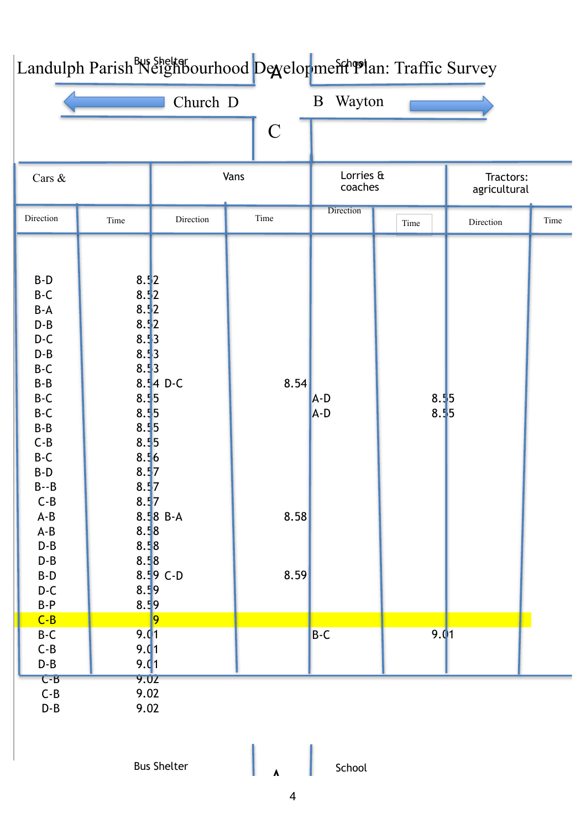|                                                                                                                                                                                                                                   |                                                                                                                                                              |                                      | Landulph Parish Neighbourhood Dexelopment Plan: Traffic Survey |                      |              |                           |      |
|-----------------------------------------------------------------------------------------------------------------------------------------------------------------------------------------------------------------------------------|--------------------------------------------------------------------------------------------------------------------------------------------------------------|--------------------------------------|----------------------------------------------------------------|----------------------|--------------|---------------------------|------|
|                                                                                                                                                                                                                                   |                                                                                                                                                              | Church D                             |                                                                | Wayton<br>B          |              |                           |      |
|                                                                                                                                                                                                                                   |                                                                                                                                                              |                                      | $\mathcal{C}$                                                  |                      |              |                           |      |
| Cars $\&$                                                                                                                                                                                                                         |                                                                                                                                                              |                                      | Vans                                                           | Lorries &<br>coaches |              | Tractors:<br>agricultural |      |
| Direction                                                                                                                                                                                                                         | Time                                                                                                                                                         | Direction                            | Time                                                           | Direction            | Time         | Direction                 | Time |
| $B-D$<br>$B-C$<br>$B - A$<br>$D - B$<br>$D-C$<br>$D - B$<br>$B-C$<br>$B - B$<br>$B-C$<br>$B-C$<br>$B - B$<br>$C - B$<br>$B-C$<br>$B-D$<br>$B - B$<br>$C - B$<br>$A - B$<br>$A - B$<br>$D - B$<br>$D - B$<br>$B-D$<br>D-C<br>$B-P$ | 8.52<br>8.52<br>8.52<br>8.52<br>8.53<br>8.53<br>8.53<br>8.55<br>8.55<br>8.55<br>8.55<br>8.56<br>8.57<br>8.57<br>8.57<br>8.58<br>8.58<br>8.58<br>8.59<br>8.59 | $8.54$ D-C<br>$8.58B-A$<br>$8.59C-D$ | 8.54<br>8.58<br>8.59                                           | $A-D$<br>$A-D$       | 8.15<br>8.55 |                           |      |
| $C - B$<br>B-C                                                                                                                                                                                                                    | 9.01                                                                                                                                                         | $\overline{9}$                       |                                                                | $B-C$                | 9.01         |                           |      |
| $C - B$<br>$D - B$                                                                                                                                                                                                                | 9.01<br>9.01                                                                                                                                                 |                                      |                                                                |                      |              |                           |      |
| $C - B$<br>$C - B$<br>$D - B$                                                                                                                                                                                                     | 9.02<br>9.02<br>9.02                                                                                                                                         |                                      |                                                                |                      |              |                           |      |
|                                                                                                                                                                                                                                   |                                                                                                                                                              | <b>Bus Shelter</b>                   | $\pmb{\lambda}$                                                | School               |              |                           |      |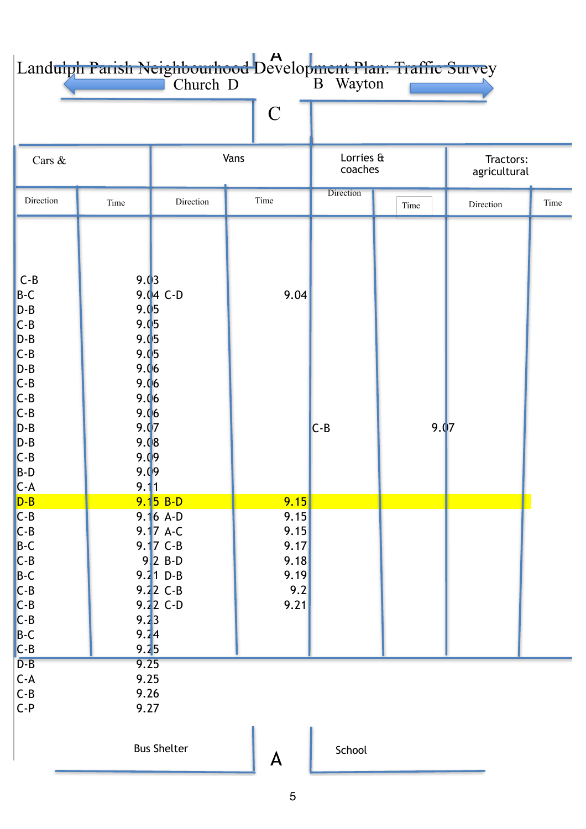|                                                                                                                                                                                                                                    |                                                                                                              | Church D                                                                                       | Landulph Parish Neighbourhood Development Plan: Traffic Survey                                                | <b>B</b> Wayton      |      |                           |      |
|------------------------------------------------------------------------------------------------------------------------------------------------------------------------------------------------------------------------------------|--------------------------------------------------------------------------------------------------------------|------------------------------------------------------------------------------------------------|---------------------------------------------------------------------------------------------------------------|----------------------|------|---------------------------|------|
|                                                                                                                                                                                                                                    |                                                                                                              |                                                                                                | $\mathsf{C}% _{M_{1},M_{2}}^{\alpha,\beta}(\varepsilon)=\mathsf{C}_{M_{1},M_{2}}^{\alpha,\beta}(\varepsilon)$ |                      |      |                           |      |
| Cars &                                                                                                                                                                                                                             |                                                                                                              |                                                                                                | Vans                                                                                                          | Lorries &<br>coaches |      | Tractors:<br>agricultural |      |
| Direction                                                                                                                                                                                                                          | Time                                                                                                         | Direction                                                                                      | Time                                                                                                          | Direction            | Time | Direction                 | Time |
| $C - B$<br>$B-C$<br>$D - B$<br>$C - B$<br>$D - B$<br>$C - B$<br>$D - B$<br>$C - B$<br>$C - B$<br>$C - B$<br>$D - B$<br>$D - B$<br>$C - B$<br>$B-D$<br>$C-A$                                                                        | 9.03<br>9.05<br>9.05<br>9.05<br>9.05<br>9.06<br>9.06<br>9.06<br>9.06<br>9.07<br>9.08<br>9.09<br>9.09<br>9.11 | $9.04 C-D$                                                                                     | 9.04                                                                                                          | $C - B$              | 9.07 |                           |      |
| $D - B$                                                                                                                                                                                                                            |                                                                                                              | $9.15 B-D$                                                                                     | 9.15                                                                                                          |                      |      |                           |      |
| $\mathsf{C}\text{-}\mathsf{B}$<br>$C - B$<br>$B-C$<br>$\mathsf{C}\text{-}\mathsf{B}$<br>$B-C$<br>$\mathsf{C}\text{-}\mathsf{B}$<br>$C - B$<br>$\mathsf{C}\text{-}\mathsf{B}$<br>$B-C$<br>$\mathsf{C}\text{-}\mathsf{B}$<br>$D - B$ | 9.23<br>9.24<br>9.25<br>9.25                                                                                 | $9.16A-D$<br>$9.17 A-C$<br>$9.17 C - B$<br>$92B-D$<br>$9.21$ D-B<br>$9.22 C - B$<br>$9.22 C-D$ | 9.15<br>9.15<br>9.17<br>9.18<br>9.19<br>9.2<br>9.21                                                           |                      |      |                           |      |
| $C-A$<br>$C - B$<br>$C-P$                                                                                                                                                                                                          | 9.25<br>9.26<br>9.27                                                                                         | <b>Bus Shelter</b>                                                                             | A                                                                                                             | School               |      |                           |      |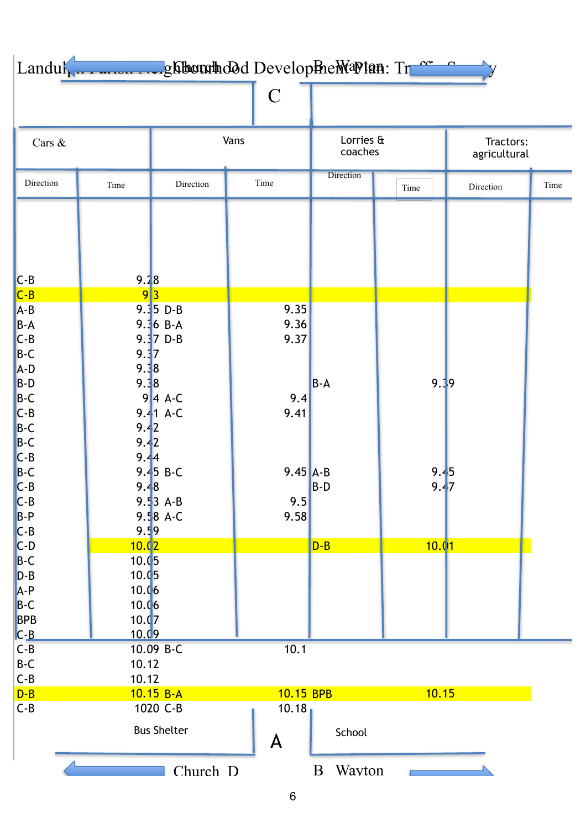|                                                                                                                      | Landuh manusculous subset of the Superior of the Superior Superior Superior Superior Superior Superior Superior Superior Superior Superior Superior Superior Superior Superior Superior Superior Superior Superior Superior Su |                                                 |                             |                      |              |                           |      |
|----------------------------------------------------------------------------------------------------------------------|--------------------------------------------------------------------------------------------------------------------------------------------------------------------------------------------------------------------------------|-------------------------------------------------|-----------------------------|----------------------|--------------|---------------------------|------|
|                                                                                                                      |                                                                                                                                                                                                                                |                                                 | $\mathsf C$                 |                      |              |                           |      |
| Cars $\&$                                                                                                            |                                                                                                                                                                                                                                |                                                 | Vans                        | Lorries &<br>coaches |              | Tractors:<br>agricultural |      |
| Direction                                                                                                            | Time                                                                                                                                                                                                                           | Direction                                       | Time                        | Direction            | Time         | Direction                 | Time |
| $C - B$                                                                                                              | 9.18                                                                                                                                                                                                                           |                                                 |                             |                      |              |                           |      |
| $C - B$<br>$A - B$<br>$B-A$<br>$C - B$<br>$B-C$<br>$A-D$                                                             | 9.17<br>9.38                                                                                                                                                                                                                   | 9 3<br>$9.15 D - B$<br>$9.36 B-A$<br>$9.37$ D-B | 9.35<br>9.36<br>9.37        |                      |              |                           |      |
| $B-D$<br>$B-C$<br>$\mathsf{C}\text{-}\mathsf{B}$<br>$B-C$<br>$B-C$<br>$\mathsf{C}\text{-}\mathsf{B}$                 | 9.38<br>9.42<br>9.42<br>9.44                                                                                                                                                                                                   | $9$ 4 A-C<br>$9.41 A-C$                         | 9.4<br>9.41                 | $B - A$              | 9.19         |                           |      |
| $B-C$<br>$\mathsf{C}\text{-}\mathsf{B}$<br>$\mathsf{C}\text{-}\mathsf{B}$<br>$B-P$<br>$\mathsf{C}\text{-}\mathsf{B}$ | 9.48<br>9.59                                                                                                                                                                                                                   | $9.45 B-C$<br>$9.53 A - B$<br>$9.58A-C$         | $9.45$ $A-B$<br>9.5<br>9.58 | $B-D$                | 9.45<br>9.47 |                           |      |
| $\mathsf{C}\text{-}\mathsf{D}$<br>$B-C$<br>$D - B$<br>$A-P$<br>$B-C$<br>BPB<br>$\mathsf{C}\text{-}\mathsf{B}$        | 10.02<br>10.05<br>10.05<br>10.06<br>10.06<br>10.07<br><u>10.09</u>                                                                                                                                                             |                                                 |                             | $D - B$              | 10.01        |                           |      |
| $C - B$<br>B-C<br>$C - B$                                                                                            | 10.12<br>10.12                                                                                                                                                                                                                 | 10.09 B-C                                       | 10.1                        |                      |              |                           |      |
| $D - B$<br>$C - B$                                                                                                   |                                                                                                                                                                                                                                | $10.15 B-A$<br>1020 C-B                         | 10.15 BPB<br>10.18          |                      | 10.15        |                           |      |
|                                                                                                                      |                                                                                                                                                                                                                                | <b>Bus Shelter</b>                              | A                           | School               |              |                           |      |
|                                                                                                                      |                                                                                                                                                                                                                                | Church D                                        |                             | Wavton<br>B          |              |                           |      |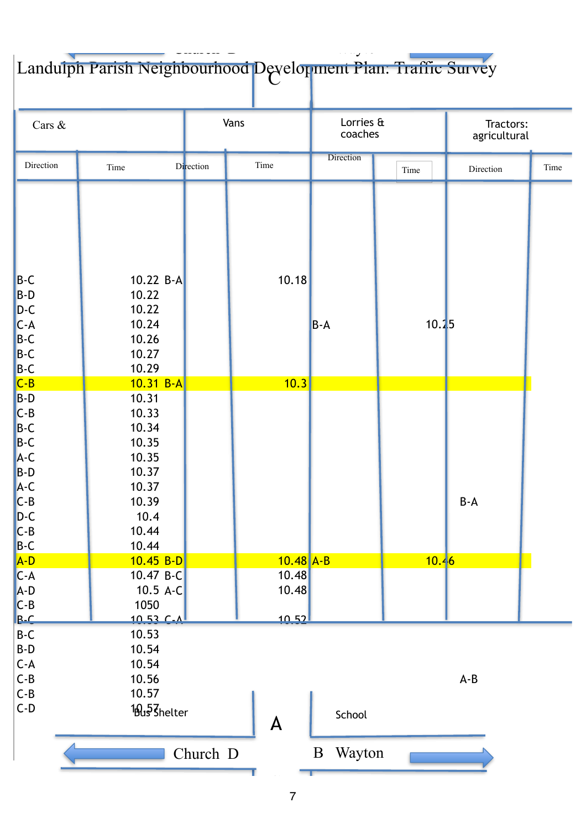## Landulph Parish Neighbourhood Development Plan: Traffic Survey Church D B Wayne  $\mathcal{C}$

| Cars $\&$                                                                                                                                                  |                                                                                                               |           | Vans           | Lorries &<br>coaches |       | Tractors:<br>agricultural |      |
|------------------------------------------------------------------------------------------------------------------------------------------------------------|---------------------------------------------------------------------------------------------------------------|-----------|----------------|----------------------|-------|---------------------------|------|
| Direction                                                                                                                                                  | Time                                                                                                          | Direction | Time           | Direction            | Time  | Direction                 | Time |
| $B-C$<br>$B-D$<br>$D-C$<br>$C-A$<br>$B-C$<br>$B-C$<br>$B-C$                                                                                                | $10.22 B-A$<br>10.22<br>10.22<br>10.24<br>10.26<br>10.27<br>10.29                                             |           | 10.18          | $B - A$              | 10.15 |                           |      |
| $C - B$                                                                                                                                                    | $10.31 B-A$                                                                                                   |           | 10.3           |                      |       |                           |      |
| $B-D$<br>$C - B$<br>$B-C$<br>$B-C$<br>A-C<br>$B-D$<br>$A-C$<br>$\mathsf{C}\text{-}\mathsf{B}$<br>$D-C$<br>$\mathsf{C}\text{-}\mathsf{B}$<br>$B-C$<br>$A-D$ | 10.31<br>10.33<br>10.34<br>10.35<br>10.35<br>10.37<br>10.37<br>10.39<br>10.4<br>10.44<br>10.44<br>$10.45 B-D$ |           | $10.48$ A-B    |                      | 10.46 | $B-A$                     |      |
| $C-A$<br>$A-D$                                                                                                                                             | 10.47 $B-C$<br>10.5 A-C                                                                                       |           | 10.48<br>10.48 |                      |       |                           |      |
| $C - B$<br>B-C                                                                                                                                             | 1050<br>10.53 C <sub>1</sub>                                                                                  |           | 10.52          |                      |       |                           |      |
| $B-C$<br>$B-D$<br>$C-A$<br>$C - B$<br>$C - B$<br>$C-D$                                                                                                     | 10.53<br>10.54<br>10.54<br>10.56<br>10.57<br>18us3helter                                                      |           | A              | School               |       | $A - B$                   |      |
|                                                                                                                                                            |                                                                                                               | Church D  |                | Wayton<br>$\bf{B}$   |       |                           |      |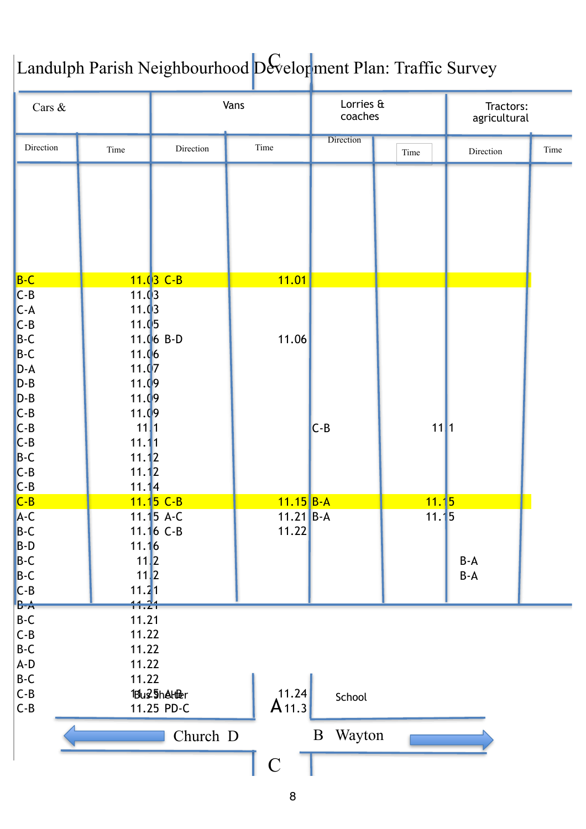## Landulph Parish Neighbourhood Development Plan: Traffic Survey

| Cars $\&$                                                                                                                                |                                                              |                            | Vans                 | Lorries &<br>coaches |        | Tractors:<br>agricultural |      |
|------------------------------------------------------------------------------------------------------------------------------------------|--------------------------------------------------------------|----------------------------|----------------------|----------------------|--------|---------------------------|------|
| Direction                                                                                                                                | Time                                                         | Direction                  | Time                 | Direction            | Time   | Direction                 | Time |
|                                                                                                                                          |                                                              |                            |                      |                      |        |                           |      |
| $B-C$                                                                                                                                    |                                                              | $11.(3) C-B$               | 11.01                |                      |        |                           |      |
| $C - B$<br>$C-A$<br>$\mathsf{C}\text{-}\mathsf{B}$<br>$B-C$<br>$B-C$<br>$D-A$<br>$D - B$<br>$D - B$                                      | 11.03<br>11.03<br>11.05<br>11.06<br>11.07<br>11.09<br>11.09  | 11.06 B-D                  | 11.06                |                      |        |                           |      |
| $\mathsf{C}\text{-}\mathsf{B}$<br>$ C-B $<br>$\mathsf{C}\text{-}\mathsf{B}$<br>$B-C$<br>$\mathsf{C}\text{-}\mathsf{B}$<br>$IC-B$         | 11.09<br>11 1<br>11.11<br>11.12<br>11.12<br>11.14            |                            |                      | $C - B$              | $11$ 1 |                           |      |
| $C - B$                                                                                                                                  |                                                              | $11.15 C - B$              | $11.15$ B-A          |                      | 11.15  |                           |      |
| $A-C$<br>$B-C$<br>$B-D$<br>$B-C$<br>$B-C$<br>$\mathsf{C}\text{-}\mathsf{B}$<br><b>B</b> A                                                | 11.16<br>11 2<br>$11$ <sub>2</sub><br>11.21<br><u> 11.21</u> | 11.15 $A-C$<br>11.16 $C-B$ | 11.21 $B-A$<br>11.22 |                      | 11.15  | $B-A$<br>$B-A$            |      |
| $\mathsf{B}\text{-}\mathsf{C}$<br>$C-B$<br>$\mathsf{B}\text{-}\mathsf{C}$<br>$A-D$<br>$\mathsf{B}\text{-}\mathsf{C}$<br>$C - B$<br>$C-B$ | 11.21<br>11.22<br>11.22<br>11.22<br>11.22                    | 1Bu25hAtter<br>11.25 PD-C  | 11.24<br>$A_{11.3}$  | School               |        |                           |      |
|                                                                                                                                          |                                                              | Church D                   | $\mathcal{C}$        | Wayton<br>B          |        |                           |      |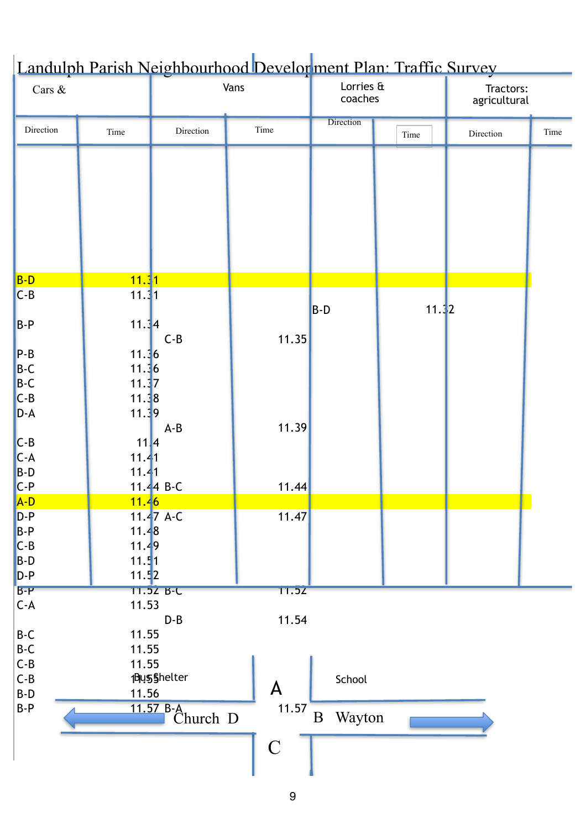| Cars &                         |       |                       | <u>Languinii Farish Neighbollinoolii Jeveloi Ineill Fiail - Hallic Sulvey</u><br>Vans | Lorries &<br>coaches |       | Tractors:<br>agricultural |      |
|--------------------------------|-------|-----------------------|---------------------------------------------------------------------------------------|----------------------|-------|---------------------------|------|
| Direction                      | Time  | Direction             | Time                                                                                  | Direction            | Time  | Direction                 | Time |
|                                |       |                       |                                                                                       |                      |       |                           |      |
| $B-D$                          | 11.11 |                       |                                                                                       |                      |       |                           |      |
| $C - B$                        | 11.31 |                       |                                                                                       |                      |       |                           |      |
| $B-P$                          | 11.34 | $C - B$               | 11.35                                                                                 | $B-D$                | 11.12 |                           |      |
| $P - B$                        | 11.36 |                       |                                                                                       |                      |       |                           |      |
| $B-C$                          | 11.36 |                       |                                                                                       |                      |       |                           |      |
| $B-C$                          | 11.37 |                       |                                                                                       |                      |       |                           |      |
| $C - B$                        | 11.38 |                       |                                                                                       |                      |       |                           |      |
| $D-A$                          | 11.39 | $A - B$               | 11.39                                                                                 |                      |       |                           |      |
| $ C-B $                        | 11 4  |                       |                                                                                       |                      |       |                           |      |
| $C-A$                          | 11.41 |                       |                                                                                       |                      |       |                           |      |
| $B-D$                          | 11.41 |                       |                                                                                       |                      |       |                           |      |
| $ C-P $                        |       | 11.44 $B-C$           | 11.44                                                                                 |                      |       |                           |      |
| $A-D$                          | 11.46 |                       |                                                                                       |                      |       |                           |      |
| $D - P$                        |       | 11.47 A-C             | 11.47                                                                                 |                      |       |                           |      |
| $B-P$                          | 11.48 |                       |                                                                                       |                      |       |                           |      |
| $\mathsf{C}\text{-}\mathsf{B}$ | 11.49 |                       |                                                                                       |                      |       |                           |      |
| $B-D$                          | 11.51 |                       |                                                                                       |                      |       |                           |      |
| $D-P$                          | 11.52 |                       |                                                                                       |                      |       |                           |      |
| $B - P$                        |       | $11.52 B-C$           | 11.52                                                                                 |                      |       |                           |      |
| $C-A$                          | 11.53 | $D - B$               | 11.54                                                                                 |                      |       |                           |      |
| $B-C$                          | 11.55 |                       |                                                                                       |                      |       |                           |      |
| $B-C$                          | 11.55 |                       |                                                                                       |                      |       |                           |      |
| $C - B$                        | 11.55 |                       |                                                                                       |                      |       |                           |      |
| $\mathsf{C}\text{-}\mathsf{B}$ |       | 1Busshelter           |                                                                                       | School               |       |                           |      |
| $B-D$                          | 11.56 |                       | A                                                                                     |                      |       |                           |      |
| $B-P$                          |       | 11.57 B-A<br>Church D | 11.57                                                                                 | Wayton<br>B          |       |                           |      |
|                                |       |                       |                                                                                       |                      |       |                           |      |
|                                |       |                       | $\mathsf{C}$                                                                          |                      |       |                           |      |

## Landulph Parish Neighbourhood Development Plan: Traffic Survey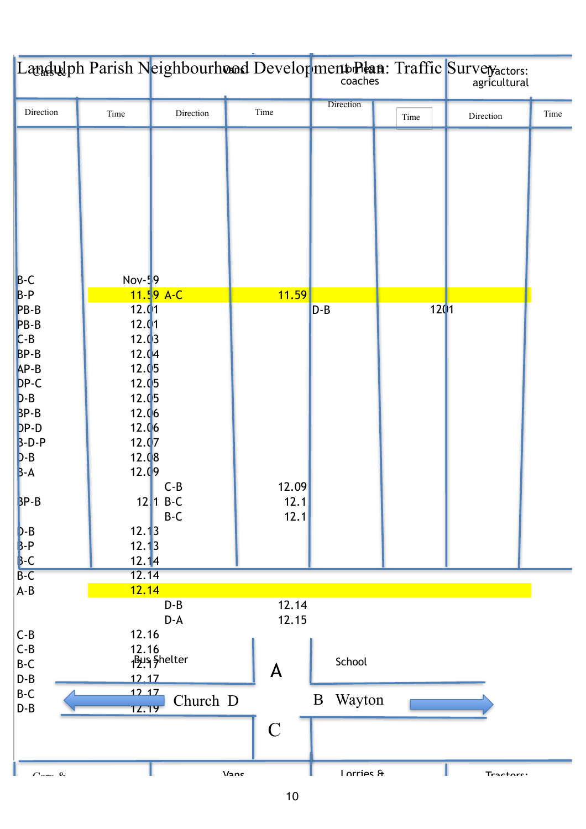|                                                                  |                                                    |                     |                  |             |      | Landulph Parish Neighbourhood Development Plean: Traffic Survey actors:<br>agricultural |      |
|------------------------------------------------------------------|----------------------------------------------------|---------------------|------------------|-------------|------|-----------------------------------------------------------------------------------------|------|
| Direction                                                        | Time                                               | Direction           | Time             | Direction   | Time | Direction                                                                               | Time |
| $B-C$<br>$B-P$                                                   | <b>Nov-59</b>                                      | $11.59A-C$          | 11.59            |             |      |                                                                                         |      |
| $PB-B$                                                           | 12.01                                              |                     |                  | $D - B$     |      | 1201                                                                                    |      |
| $PB-B$<br>$C - B$<br>$BP - B$<br>$AP-B$<br>DP-C<br>$D - B$       | 12.01<br>12.03<br>12.04<br>12.05<br>12.05<br>12.05 |                     |                  |             |      |                                                                                         |      |
| $BP-B$<br><b>DP-D</b><br>$B-D-P$<br>$\mathsf{D-B}$<br>$\beta$ -A | 12.06<br>12.06<br>12.07<br>12.08<br>12.09          | $C - B$             | 12.09            |             |      |                                                                                         |      |
| $BP-B$                                                           |                                                    | $12$ 1 B-C<br>$B-C$ | 12.1<br>12.1     |             |      |                                                                                         |      |
| $\mathsf{p}\text{-}\mathsf{B}$                                   | 12.13                                              |                     |                  |             |      |                                                                                         |      |
| $B-P$<br>$B-C$                                                   | 12.13                                              |                     |                  |             |      |                                                                                         |      |
| $B-C$                                                            | 12.14<br>12.14                                     |                     |                  |             |      |                                                                                         |      |
| $\mathsf{A}\text{-}\mathsf{B}$                                   | 12.14                                              |                     |                  |             |      |                                                                                         |      |
|                                                                  |                                                    | $D - B$<br>$D-A$    | 12.14<br>12.15   |             |      |                                                                                         |      |
| $C - B$<br>$\mathsf{C}\text{-}\mathsf{B}$<br>$B-C$<br>$D - B$    | 12.16<br>12.16<br>12.17                            | Bus Shelter         | A                | School      |      |                                                                                         |      |
| $\mathsf{B}\text{-}\mathsf{C}$<br>$D - B$                        | 1217<br>12.19                                      | Church D            | $\mathcal{C}$    | Wayton<br>B |      |                                                                                         |      |
|                                                                  |                                                    |                     |                  |             |      |                                                                                         |      |
| $\overline{\mathcal{C}}$ and $\overline{\mathcal{C}}$            |                                                    |                     | V <sub>anc</sub> | I orries &  |      | Trackarray                                                                              |      |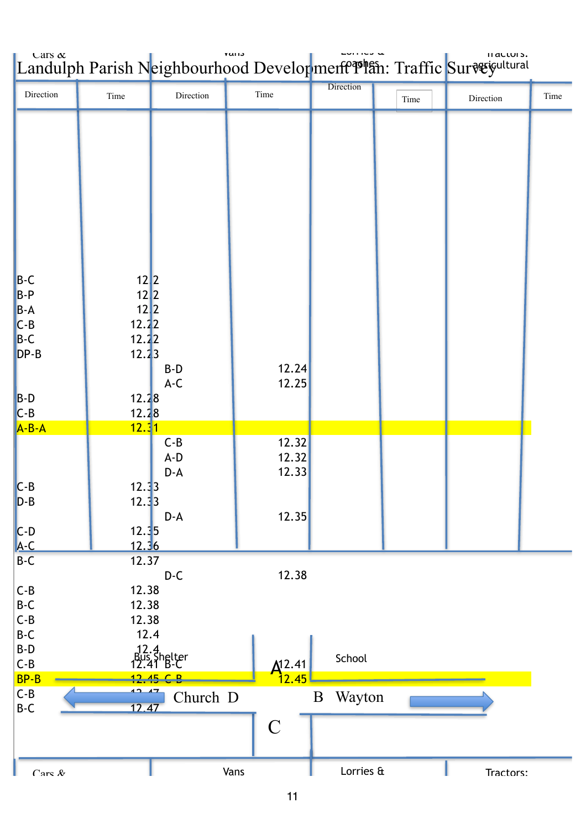| $\operatorname{cars} \alpha$                                               | Landulph Parish Neighbourhood Development Plan: Traffic Survey yultural |                           | V(113)            |                         |           |      | <b>II ALLUIS.</b> |      |
|----------------------------------------------------------------------------|-------------------------------------------------------------------------|---------------------------|-------------------|-------------------------|-----------|------|-------------------|------|
| Direction                                                                  | Time                                                                    | Direction                 | Time              |                         | Direction | Time | Direction         | Time |
| $B-C$<br>$B-P$<br>$B-A$<br>$\mathsf{C}\text{-}\mathsf{B}$<br>$B-C$<br>DP-B | $12$  2<br>$12$  2<br>12 2<br>12.22<br>12.22<br>12.23                   | $B-D$<br>$A-C$            |                   | 12.24<br>12.25          |           |      |                   |      |
| $B-D$<br>$\mathsf{C}\text{-}\mathsf{B}$                                    | 12.28<br>12.28                                                          |                           |                   |                         |           |      |                   |      |
| $A - B - A$                                                                | 12.31                                                                   |                           |                   |                         |           |      |                   |      |
| $\mathsf{C}\text{-}\mathsf{B}$<br>$\mathsf{D-B}$                           | $12.33$<br>$12.33$                                                      | $C - B$<br>$A-D$<br>$D-A$ |                   | 12.32<br>12.32<br>12.33 |           |      |                   |      |
| $ C-D $                                                                    | 12.35                                                                   | D-A                       |                   | 12.35                   |           |      |                   |      |
| <b>A-C</b>                                                                 | <u>12.36</u>                                                            |                           |                   |                         |           |      |                   |      |
| $B-C$<br>$ C-B$<br>$B-C$<br>$C-B$                                          | 12.37<br>12.38<br>12.38<br>12.38                                        | $D-C$                     |                   | 12.38                   |           |      |                   |      |
| $B-C$<br>$B-D$<br>$C - B$                                                  | 12.4<br>12.4                                                            | elter                     | ${\sf A}^{12.41}$ |                         | School    |      |                   |      |
| $BP - B$<br>$C - B$<br>$\mathsf{B}\text{-}\mathsf{C}$                      | 12.45<br>127<br>12.47                                                   | R<br>Church D             | $\mathcal{C}$     | 12.45<br>B              | Wayton    |      |                   |      |
| $C$ are $\&$                                                               |                                                                         |                           | Vans              |                         | Lorries & |      | Tractors:         |      |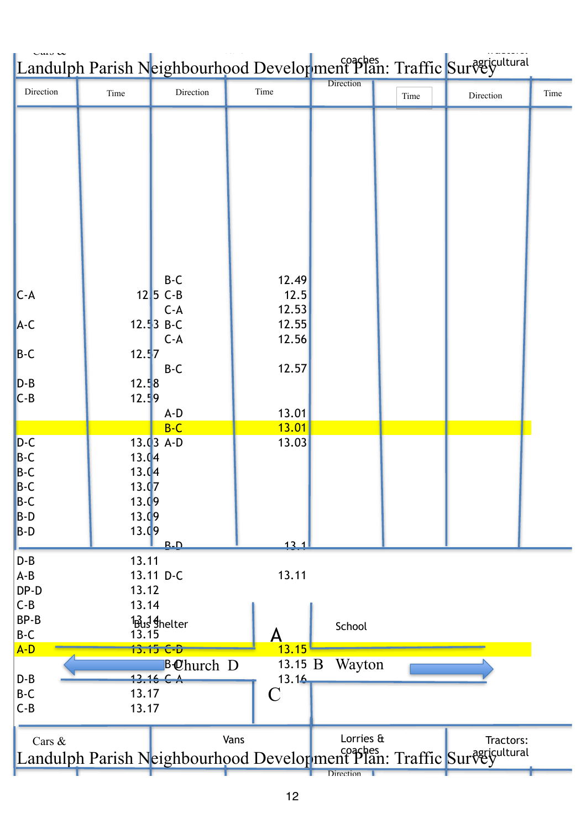|           |       |                          |              | Direction |      | Landulph Parish Neighbourhood Development Plan: Traffic Survey              |      |
|-----------|-------|--------------------------|--------------|-----------|------|-----------------------------------------------------------------------------|------|
| Direction | Time  | Direction                | Time         |           | Time | Direction                                                                   | Time |
|           |       |                          |              |           |      |                                                                             |      |
|           |       |                          |              |           |      |                                                                             |      |
|           |       |                          |              |           |      |                                                                             |      |
|           |       |                          |              |           |      |                                                                             |      |
|           |       |                          |              |           |      |                                                                             |      |
|           |       |                          |              |           |      |                                                                             |      |
|           |       |                          |              |           |      |                                                                             |      |
|           |       |                          |              |           |      |                                                                             |      |
|           |       |                          |              |           |      |                                                                             |      |
|           |       |                          |              |           |      |                                                                             |      |
|           |       |                          |              |           |      |                                                                             |      |
|           |       | $B-C$                    | 12.49        |           |      |                                                                             |      |
| $C-A$     |       | $12\overline{5}$ C-B     | 12.5         |           |      |                                                                             |      |
|           |       | $C-A$                    | 12.53        |           |      |                                                                             |      |
| $A-C$     |       | 12.5 $3 B-C$             | 12.55        |           |      |                                                                             |      |
|           |       | $C-A$                    | 12.56        |           |      |                                                                             |      |
| $B-C$     | 12.57 |                          |              |           |      |                                                                             |      |
|           |       | $B-C$                    | 12.57        |           |      |                                                                             |      |
| $D - B$   | 12.58 |                          |              |           |      |                                                                             |      |
| $C-B$     | 12.59 |                          |              |           |      |                                                                             |      |
|           |       | $A-D$                    | 13.01        |           |      |                                                                             |      |
|           |       | $B-C$                    | 13.01        |           |      |                                                                             |      |
| $D-C$     |       | $13.03$ A-D              | 13.03        |           |      |                                                                             |      |
| $B-C$     | 13.04 |                          |              |           |      |                                                                             |      |
| $B-C$     | 13.04 |                          |              |           |      |                                                                             |      |
| $B-C$     | 13.07 |                          |              |           |      |                                                                             |      |
| $B-C$     | 13.09 |                          |              |           |      |                                                                             |      |
| $B-D$     | 13.09 |                          |              |           |      |                                                                             |      |
| $B-D$     | 13.09 | R.D                      | $121$        |           |      |                                                                             |      |
| $D - B$   | 13.11 |                          |              |           |      |                                                                             |      |
| $A - B$   |       | 13.11 D-C                | 13.11        |           |      |                                                                             |      |
| DP-D      | 13.12 |                          |              |           |      |                                                                             |      |
| $C-B$     | 13.14 |                          |              |           |      |                                                                             |      |
| BP-B      |       | Bus <sup>1</sup> Shelter |              |           |      |                                                                             |      |
| B-C       | 13.15 |                          |              | School    |      |                                                                             |      |
| $A-D$     |       | <del>13.15 C-D</del>     | <b>13.15</b> |           |      |                                                                             |      |
|           |       | B Church D               | 13.15 $B$    | Wayton    |      |                                                                             |      |
| $D - B$   |       | $13.16C$ $A$             | 13.16        |           |      |                                                                             |      |
| $B-C$     | 13.17 |                          | C            |           |      |                                                                             |      |
| $C - B$   | 13.17 |                          |              |           |      |                                                                             |      |
|           |       |                          |              |           |      |                                                                             |      |
| Cars &    |       |                          | Vans         | Lorries & |      | Tractors:<br>Landulph Parish Neighbourhood Development Plan: Traffic Survey |      |
|           |       |                          |              |           |      |                                                                             |      |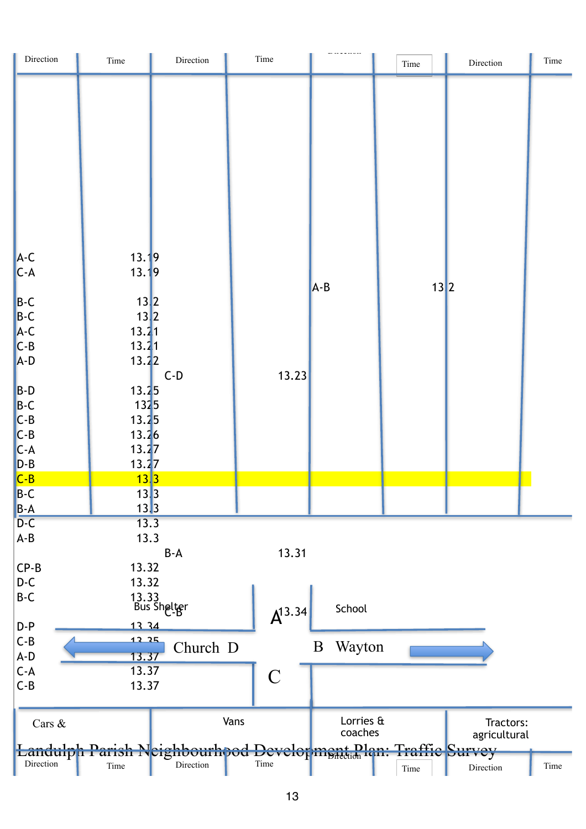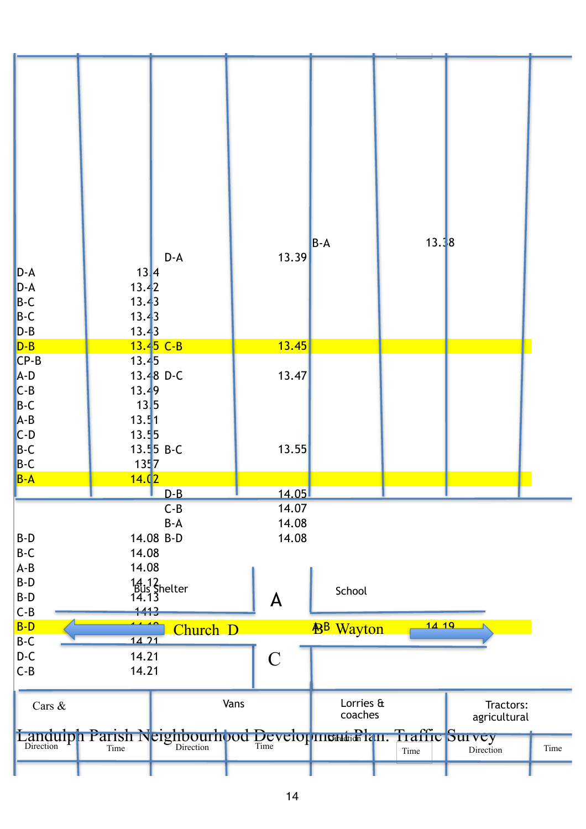| $D-A$<br>$D-A$<br>$B-C$<br>$B-C$                                      | $13 \mid 4$<br>13.42<br>13.43<br>13.43      | D-A                            | 13.39                                                         | $B-A$                | 13.38   |                           |      |
|-----------------------------------------------------------------------|---------------------------------------------|--------------------------------|---------------------------------------------------------------|----------------------|---------|---------------------------|------|
| $D - B$                                                               | 13.43                                       |                                |                                                               |                      |         |                           |      |
| $D - B$                                                               |                                             | $13.45 C - B$                  | 13.45                                                         |                      |         |                           |      |
| $CP-B$<br>$A-D$<br>$\mathsf{C}\text{-}\mathsf{B}$<br>$B-C$<br>$A - B$ | 13.45<br>13.49<br>$13\overline{5}$<br>13.51 | 13.48 D-C                      | 13.47                                                         |                      |         |                           |      |
| $C-D$<br>$B-C$<br>$B-C$<br>$B-A$                                      | 13.55<br>$13\frac{1}{2}$<br>14.02           | 13.5 B-C                       | 13.55                                                         |                      |         |                           |      |
|                                                                       |                                             | $D - B$                        | 14.05                                                         |                      | ٠       | л.                        |      |
| $B-D$<br>$B-C$<br>$A - B$                                             | 14.08<br>14.08                              | $C - B$<br>$B-A$<br>14.08 B-D  | 14.07<br>14.08<br>14.08                                       |                      |         |                           |      |
| $B-D$<br>$B-D$<br>$C - B$                                             | 1413                                        | 14, 12<br>Bus Shelter<br>14.13 | A                                                             | School               |         |                           |      |
| $B-D$                                                                 | $\sqrt{2}$                                  | Church D                       |                                                               | <b>BB</b> Wayton     | $14 19$ |                           |      |
| $B-C$<br>$D-C$<br>$C - B$                                             | 14.21<br>14.21<br>14.21                     |                                | $\mathsf{C}$                                                  |                      |         |                           |      |
| Cars &                                                                |                                             |                                | Vans                                                          | Lorries &<br>coaches |         | Tractors:<br>agricultural |      |
|                                                                       |                                             |                                | Andulph Parish Neighbourhood Development Plan. Traffic Survey |                      | Time    | Direction                 | Time |
|                                                                       |                                             |                                |                                                               |                      |         |                           |      |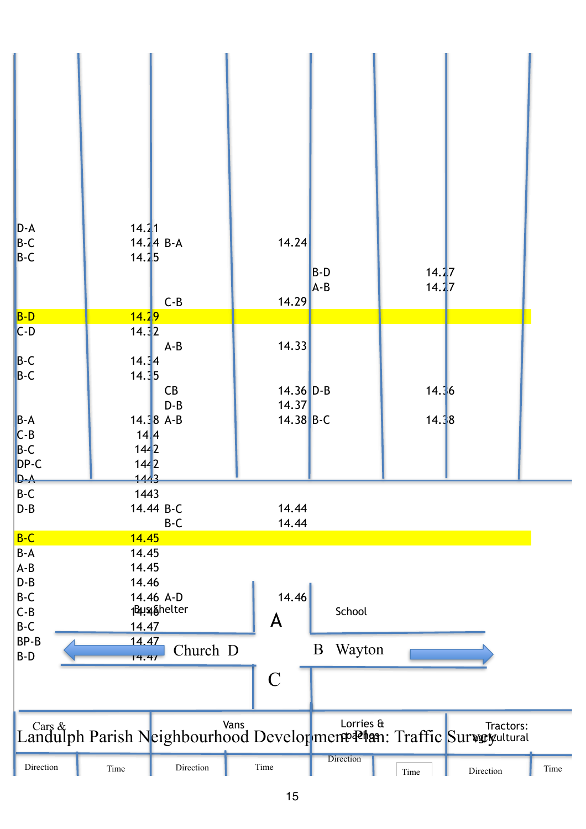| $D-A$<br>$B-C$<br>$B-C$         | 14.21<br>14.25                                                                                          | $14.24 B-A$<br>$C - B$ | 14.24<br>14.29 | $B-D$<br>$A - B$ |           | 14.27<br>14.17 |           |      |
|---------------------------------|---------------------------------------------------------------------------------------------------------|------------------------|----------------|------------------|-----------|----------------|-----------|------|
| $B-D$                           | 14.29                                                                                                   |                        |                |                  |           |                |           |      |
| $\mathsf{C}\text{-}\mathsf{D}$  | 14.32                                                                                                   | $A - B$                | 14.33          |                  |           |                |           |      |
| $B-C$                           | 14.34                                                                                                   |                        |                |                  |           |                |           |      |
| $B-C$                           | 14.35                                                                                                   | CB<br>$D - B$          | 14.37          | $14.36$ D-B      |           | 14.16          |           |      |
| $B-A$                           |                                                                                                         | $14.38$ A-B            |                | $14.38$ B-C      |           | 14.38          |           |      |
| $\mathsf{C}\text{-}\mathsf{B}$  | $14$ <sup>4</sup>                                                                                       |                        |                |                  |           |                |           |      |
| $B-C$                           | 14 <sub>2</sub>                                                                                         |                        |                |                  |           |                |           |      |
| $\mathsf{DP}\text{-}\mathsf{C}$ | 1442                                                                                                    |                        |                |                  |           |                |           |      |
| <b>IDA</b>                      | 1443                                                                                                    |                        |                |                  |           |                |           |      |
| $B-C$                           | 1443                                                                                                    |                        |                |                  |           |                |           |      |
| $D - B$                         |                                                                                                         | 14.44 B-C              | 14.44          |                  |           |                |           |      |
|                                 |                                                                                                         | $B-C$                  | 14.44          |                  |           |                |           |      |
| $B-C$                           | 14.45                                                                                                   |                        |                |                  |           |                |           |      |
| $B-A$                           | 14.45                                                                                                   |                        |                |                  |           |                |           |      |
| $A - B$                         | 14.45                                                                                                   |                        |                |                  |           |                |           |      |
| $D - B$                         | 14.46                                                                                                   |                        |                |                  |           |                |           |      |
| $\mathsf{B}\text{-}\mathsf{C}$  |                                                                                                         | 14.46 A-D              | 14.46          |                  |           |                |           |      |
| $C-B$                           |                                                                                                         | 18419 application      | A              | School           |           |                |           |      |
| $\mathsf{B}\text{-}\mathsf{C}$  | 14.47                                                                                                   |                        |                |                  |           |                |           |      |
| BP-B                            | 14.47                                                                                                   | Church D               |                | B                | Wayton    |                |           |      |
| $B-D$                           | 14.47                                                                                                   |                        |                |                  |           |                |           |      |
|                                 |                                                                                                         |                        | $\mathcal{C}$  |                  |           |                |           |      |
|                                 | Cars & Lorries & Lorries & Lorries & Landulph Parish Neighbourhood Development Pane Lorries & Tractors: |                        |                |                  | Lorries & |                |           |      |
| Direction                       | Time                                                                                                    | Direction              | Time           | Direction        |           | Time           | Direction | Time |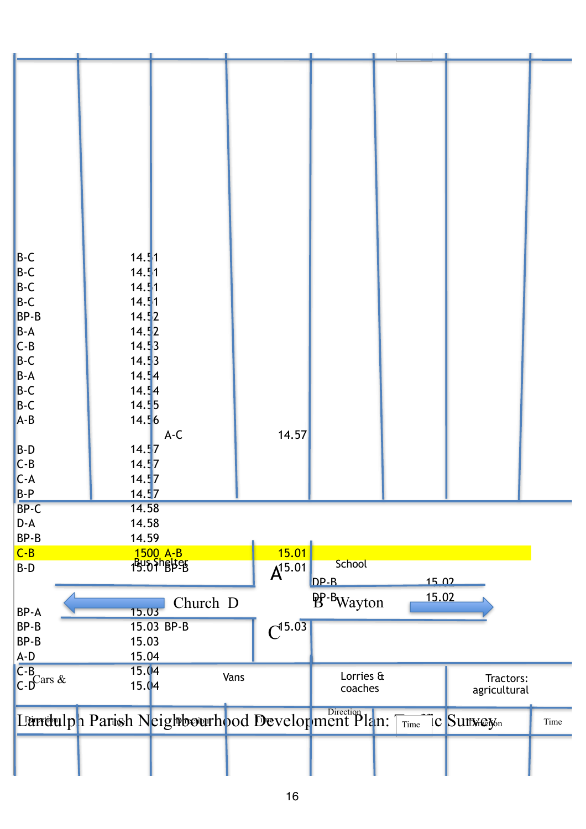| $B-C$<br>$B-C$                       | 14.51<br>14.51                                  |             |                        |       |              |      |
|--------------------------------------|-------------------------------------------------|-------------|------------------------|-------|--------------|------|
| $B-C$                                | 14.51                                           |             |                        |       |              |      |
| $B-C$                                | 14.51                                           |             |                        |       |              |      |
| <b>BP-B</b>                          | 14.52                                           |             |                        |       |              |      |
| $B-A$                                | 14.52                                           |             |                        |       |              |      |
| $C - B$                              | 14.53                                           |             |                        |       |              |      |
| $B-C$<br>$B-A$                       | 14.53<br>14.54                                  |             |                        |       |              |      |
| $B-C$                                | 14.54                                           |             |                        |       |              |      |
| $B-C$                                | 14.55                                           |             |                        |       |              |      |
| $A - B$                              | 14.56                                           |             |                        |       |              |      |
|                                      | $A-C$                                           | 14.57       |                        |       |              |      |
| $B-D$                                | 14.57                                           |             |                        |       |              |      |
| $C-B$<br>$C-A$                       | 14.57<br>14.57                                  |             |                        |       |              |      |
| $B-P$                                | 14.57                                           |             |                        |       |              |      |
| BP-C                                 | 14.58                                           |             |                        |       |              |      |
| $D-A$                                | 14.58                                           |             |                        |       |              |      |
| BP-B                                 | 14.59                                           |             |                        |       |              |      |
| $C-B$                                | $1500 A - B$<br>B-8hBBE                         | 15.01       | School                 |       |              |      |
| $B-D$                                |                                                 | $A^{15.01}$ | DP-R                   | 1502  |              |      |
|                                      |                                                 |             | B <sup>-B</sup> Wayton | 15.02 |              |      |
| BP-A                                 | Church D<br>15.03                               |             |                        |       |              |      |
| BP-B                                 | 15.03 BP-B                                      | $C^{15.03}$ |                        |       |              |      |
| BP-B                                 | 15.03                                           |             |                        |       |              |      |
| $A-D$                                | 15.04<br>15.04                                  |             |                        |       |              |      |
| $C-B$<br>$C-D$ <sup>Cars &amp;</sup> | Vans<br>15.04                                   |             | Lorries &<br>coaches   |       | Tractors:    |      |
|                                      |                                                 |             |                        |       | agricultural |      |
|                                      | Landulph Parish Neighbourhood Development Plan: |             |                        | Time  | C Sunwey     | Time |
|                                      |                                                 |             |                        |       |              |      |
|                                      |                                                 |             |                        |       |              |      |
|                                      |                                                 |             |                        |       |              |      |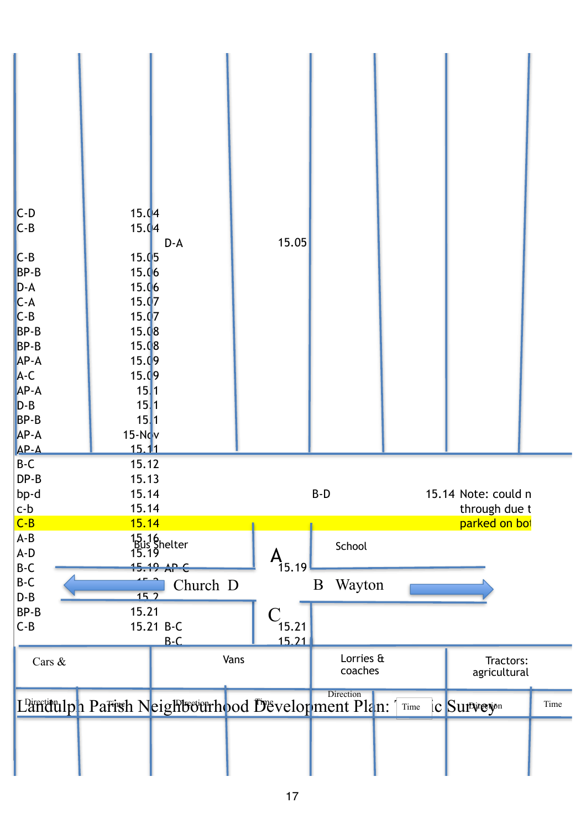| $\mathsf{C}\text{-}\mathsf{D}$<br>$C-B$<br>$\mathsf{C}\text{-}\mathsf{B}$<br><b>BP-B</b><br>$D-A$<br>$\mathsf{C}\text{-}\mathsf{A}$<br>$\mathsf{C}\text{-}\mathsf{B}$<br>$BP-B$<br>$BP-B$<br>$AP-A$<br>$A-C$<br>$AP - A$<br>$\mathsf{D-B}$<br>$BP-B$<br>$AP-A$ | 15.04<br>15.04<br>15.05<br>15.06<br>15.06<br>15.07<br>15.07<br>15.08<br>15.08<br>15.09<br>15.09<br>$15$ <sub>1</sub><br>$\begin{array}{c} 15 \\ 15 \\ 1 \end{array}$<br>$15-Nc$ | D-A                                              |      | 15.05       |                      |      |                                      |      |
|----------------------------------------------------------------------------------------------------------------------------------------------------------------------------------------------------------------------------------------------------------------|---------------------------------------------------------------------------------------------------------------------------------------------------------------------------------|--------------------------------------------------|------|-------------|----------------------|------|--------------------------------------|------|
| AP-A<br>B-C<br>$DP-B$                                                                                                                                                                                                                                          | <u>15.11</u><br>15.12<br>15.13                                                                                                                                                  |                                                  |      |             |                      |      |                                      |      |
| bp-d<br>$c-b$                                                                                                                                                                                                                                                  | 15.14<br>15.14                                                                                                                                                                  |                                                  |      |             | $B-D$                |      | 15.14 Note: could n<br>through due t |      |
| $C - B$                                                                                                                                                                                                                                                        | 15.14                                                                                                                                                                           |                                                  |      |             |                      |      | parked on bot                        |      |
| $A - B$<br>$\mathsf{A}\text{-}\mathsf{D}$<br>$B-C$                                                                                                                                                                                                             |                                                                                                                                                                                 | 15, 16<br>Bus Shelter<br>15, 19<br>15.19 AP-C    |      | $A_{15.19}$ | School               |      |                                      |      |
| $B-C$                                                                                                                                                                                                                                                          |                                                                                                                                                                                 | Church D                                         |      |             | Wayton<br>B          |      |                                      |      |
| $D - B$<br>BP-B                                                                                                                                                                                                                                                | 15 <sub>2</sub><br>15.21                                                                                                                                                        |                                                  |      |             |                      |      |                                      |      |
| $C-B$                                                                                                                                                                                                                                                          |                                                                                                                                                                                 | 15.21 B-C                                        |      | C<br>15.21  |                      |      |                                      |      |
|                                                                                                                                                                                                                                                                |                                                                                                                                                                                 | $B-C$                                            |      | 15.21       |                      |      |                                      |      |
| Cars $\&$                                                                                                                                                                                                                                                      |                                                                                                                                                                                 |                                                  | Vans |             | Lorries &<br>coaches |      | Tractors:<br>agricultural            |      |
|                                                                                                                                                                                                                                                                |                                                                                                                                                                                 | L'andulph Parish Neighbourhood Development Plan: |      |             | Direction            | Time | C Surveyon                           | Time |
|                                                                                                                                                                                                                                                                |                                                                                                                                                                                 |                                                  |      |             |                      |      |                                      |      |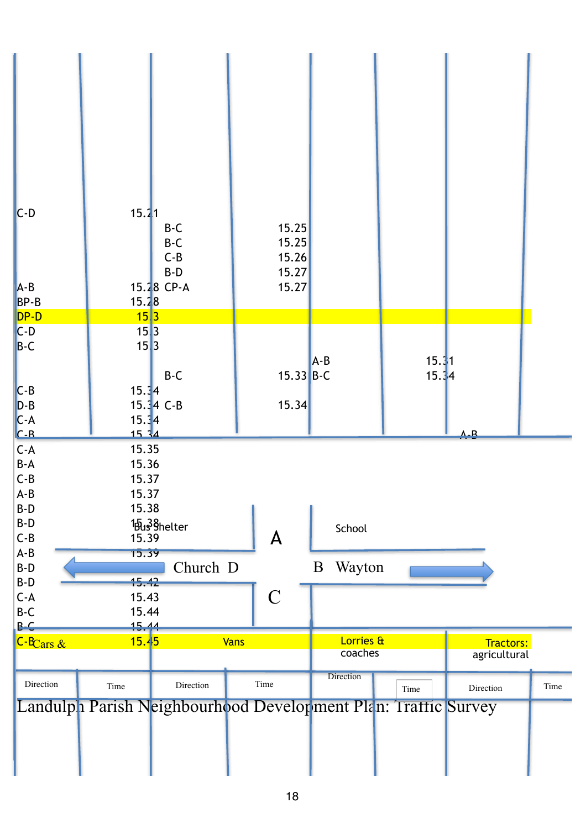| $\mathsf{C}\text{-}\mathsf{D}$<br>$A - B$<br>$BP-B$ | 15.21<br>$B-C$<br>$\mathsf{B}\text{-}\mathsf{C}$<br>$C - B$<br>$B-D$<br>15.28 CP-A<br>15.28 | 15.25<br>15.25<br>15.26<br>15.27<br>15.27 |                      |                |                           |      |
|-----------------------------------------------------|---------------------------------------------------------------------------------------------|-------------------------------------------|----------------------|----------------|---------------------------|------|
| $DP-D$                                              | 15 3                                                                                        |                                           |                      |                |                           |      |
| $\mathsf{C}\text{-}\mathsf{D}$<br>$B-C$             | $15\overline{3}$<br>$15\overline{3}$<br>$B-C$                                               | $15.33$ B-C                               | $A - B$              | 15.11<br>15.14 |                           |      |
| $\mathsf{C}\text{-}\mathsf{B}$                      | 15.34                                                                                       |                                           |                      |                |                           |      |
| $\mathsf{D-B}$                                      | $15.34$ C-B                                                                                 | 15.34                                     |                      |                |                           |      |
| $C-A$                                               | 15.34<br>15.34                                                                              |                                           |                      |                |                           |      |
| $C-A$                                               | 15.35                                                                                       |                                           |                      |                | $A$ <sub>-R</sub>         |      |
| $B-A$                                               | 15.36                                                                                       |                                           |                      |                |                           |      |
| $C - B$                                             | 15.37                                                                                       |                                           |                      |                |                           |      |
| $A - B$                                             | 15.37                                                                                       |                                           |                      |                |                           |      |
| $B-D$                                               | 15.38                                                                                       |                                           |                      |                |                           |      |
| $B-D$                                               | 15u39helter                                                                                 |                                           | School               |                |                           |      |
| $C - B$                                             | 15.39                                                                                       | A                                         |                      |                |                           |      |
| $A - B$<br>$B-D$                                    | 15.39<br>Church D                                                                           |                                           | Wayton<br>B          |                |                           |      |
| $B-D$                                               | 15.42                                                                                       |                                           |                      |                |                           |      |
| $C-A$                                               | 15.43                                                                                       | $\mathsf{C}$                              |                      |                |                           |      |
| $\mathsf{B}\text{-}\mathsf{C}$                      | 15.44                                                                                       |                                           |                      |                |                           |      |
| B-C                                                 | 15.44                                                                                       |                                           |                      |                |                           |      |
| $C$ - $B_{Cars}$ &                                  | 15.45                                                                                       | <b>Vans</b>                               | Lorries &<br>coaches |                | Tractors:<br>agricultural |      |
| Direction                                           | Direction<br>Time                                                                           | Time                                      | Direction            | Time           | Direction                 | Time |
|                                                     | Landulph Parish Neighbourhood Development Plan: Traffic Survey                              |                                           |                      |                |                           |      |
|                                                     |                                                                                             |                                           |                      |                |                           |      |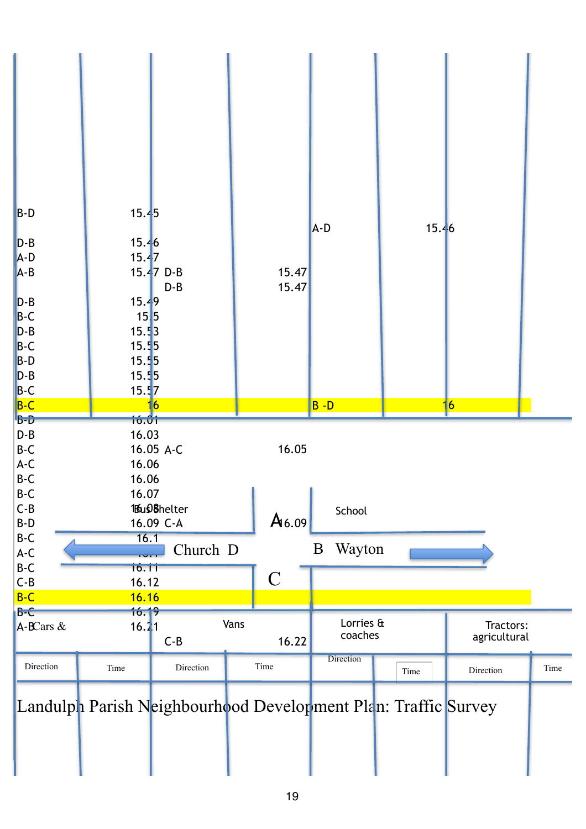| $B-D$<br>$D - B$<br>$A-D$<br>$A - B$<br>$\mathsf{D-B}$<br>$B-C$<br>$\mathsf{D-B}$<br>$B-C$<br>$B-D$<br>$\mathsf{D}\text{-}\mathsf{B}$ | 15.45<br>15.46<br>15.47<br>15.49<br>$15\overline{5}$<br>15.53<br>15.55<br>15.55<br>15.55 | $15.47$ D-B<br>$D - B$   |      | 15.47<br>15.47 | $A-D$                | 15.46 |                           |      |
|---------------------------------------------------------------------------------------------------------------------------------------|------------------------------------------------------------------------------------------|--------------------------|------|----------------|----------------------|-------|---------------------------|------|
| $B-C$                                                                                                                                 | 15.57                                                                                    |                          |      |                |                      |       |                           |      |
| $B-C$                                                                                                                                 |                                                                                          | $\vert\vert$ 6           |      |                | $B - D$              |       | $\overline{6}$            |      |
| $B - D$<br>$D - B$<br>$B-C$<br>$A-C$<br>$B-C$                                                                                         | <u>16.01</u><br>16.03<br>16.06<br>16.06                                                  | 16.05 A-C                |      | 16.05          |                      |       |                           |      |
| B-C<br>$C-B$<br>$B-D$<br>$\mathsf{B}\text{-}\mathsf{C}$                                                                               | 16.07<br>16.1                                                                            | 16 OShelter<br>16.09 C-A |      | $A_{6.09}$     | School               |       |                           |      |
| $\mathsf{A}\text{-}\mathsf{C}$                                                                                                        |                                                                                          | Church D                 |      |                | Wayton<br>B          |       |                           |      |
| $\mathsf{B}\text{-}\mathsf{C}$<br>$C - B$                                                                                             | 10.11<br>16.12                                                                           |                          |      | $\mathcal{C}$  |                      |       |                           |      |
| $B-C$                                                                                                                                 | 16.16                                                                                    |                          |      |                |                      |       |                           |      |
| $b - c$<br>$A-BCars \&$                                                                                                               | 10.19<br>16.11                                                                           |                          | Vans |                | Lorries &<br>coaches |       | Tractors:<br>agricultural |      |
|                                                                                                                                       |                                                                                          | $C - B$                  |      | 16.22          |                      |       |                           |      |
| Direction                                                                                                                             | Time                                                                                     | Direction                |      | Time           | Direction            | Time  | Direction                 | Time |
|                                                                                                                                       | Landulph Parish Neighbourhood Development Plan: Traffic Survey                           |                          |      |                |                      |       |                           |      |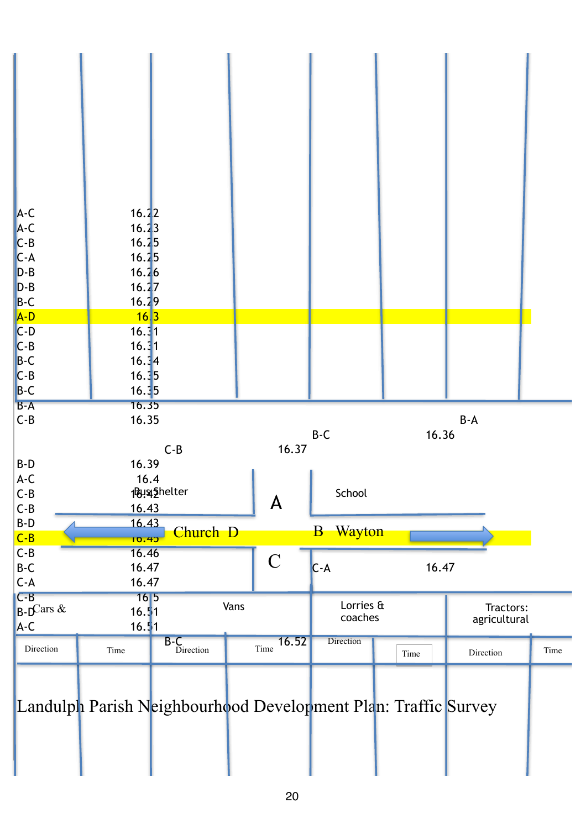| AC                                        | 16.22<br>16.23   |                                |                                                                |                                |       |                                |      |
|-------------------------------------------|------------------|--------------------------------|----------------------------------------------------------------|--------------------------------|-------|--------------------------------|------|
| $AC$<br>$C - B$                           | 16.25            |                                |                                                                |                                |       |                                |      |
| $\mathsf{C}\text{-}\mathsf{A}$            | 16.25            |                                |                                                                |                                |       |                                |      |
| $D - B$                                   | 16.26            |                                |                                                                |                                |       |                                |      |
| $\mathbf{D} - \mathbf{B}$<br>$B-C$        | 16.27<br>16.29   |                                |                                                                |                                |       |                                |      |
|                                           | $16\overline{3}$ |                                |                                                                |                                |       |                                |      |
| $AC - D$                                  | 16.31            |                                |                                                                |                                |       |                                |      |
| $\mathsf{C}\text{-}\mathsf{B}$            | 16.31            |                                |                                                                |                                |       |                                |      |
| $B-C$                                     | 16.34            |                                |                                                                |                                |       |                                |      |
| $\mathsf{C}\text{-}\mathsf{B}$            | 16.35            |                                |                                                                |                                |       |                                |      |
| $B-C$<br>$B-A$                            | 16.35<br>16.35   |                                |                                                                |                                |       |                                |      |
| $\mathsf{C}\text{-}\mathsf{B}$            | 16.35            |                                |                                                                |                                |       | $\mathsf{B}\text{-}\mathsf{A}$ |      |
|                                           |                  |                                |                                                                | $\mathsf{B}\text{-}\mathsf{C}$ | 16.36 |                                |      |
|                                           |                  | $\mathsf{C}\text{-}\mathsf{B}$ | 16.37                                                          |                                |       |                                |      |
| $\mathsf{B}\text{-}\mathsf{D}$            | 16.39            |                                |                                                                |                                |       |                                |      |
| $A-C$                                     | 16.4             | 18 ya Shelter                  |                                                                | School                         |       |                                |      |
| $C-B$<br>$\mathsf{C}\text{-}\mathsf{B}$   | 16.43            |                                | A                                                              |                                |       |                                |      |
| $\mathsf{B}\text{-}\mathsf{D}$            | 16.43            |                                |                                                                |                                |       |                                |      |
| $C-B$                                     | <b>10.43</b>     | Church D                       |                                                                | <b>Wayton</b><br>$\bf{B}$      |       |                                |      |
| $C - B$                                   | 16.46            |                                | $\mathcal{C}$                                                  |                                |       |                                |      |
| $\mathsf{B}\text{-}\mathsf{C}$            | 16.47<br>16.47   |                                |                                                                | $C-A$                          | 16.47 |                                |      |
| $\mathsf{C}\text{-}\mathsf{A}$<br>$C - B$ | 16 5             |                                |                                                                |                                |       |                                |      |
| $B$ - $D$ <sup>Cars &amp;</sup>           | 16.51            |                                | Vans                                                           | Lorries &<br>coaches           |       | Tractors:                      |      |
| $A-C$                                     | 16.51            |                                |                                                                |                                |       | agricultural                   |      |
| Direction                                 | Time             | $B-C$<br>Direction             | 16.52<br>Time                                                  | Direction                      | Time  | Direction                      | Time |
|                                           |                  |                                | Landulph Parish Neighbourhood Development Plan: Traffic Survey |                                |       |                                |      |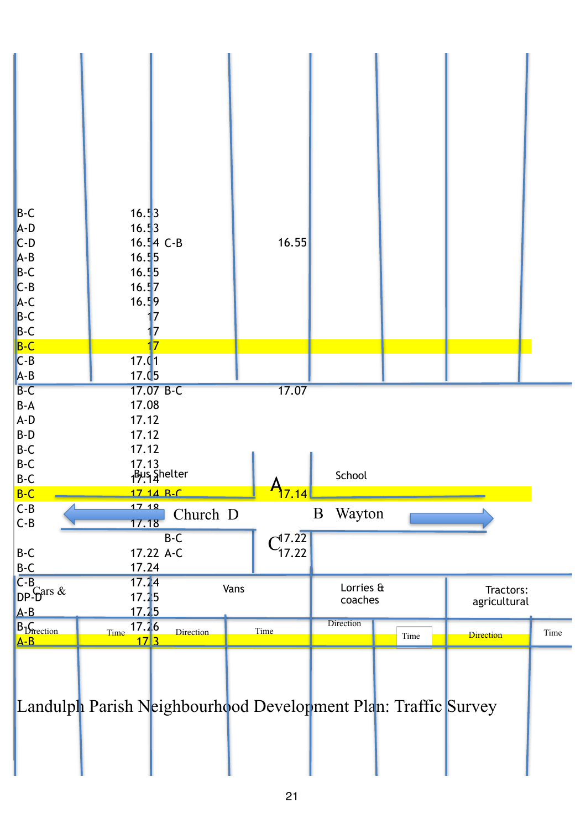| $B-C$<br>$A-D$<br>$C-D$<br>$A - B$<br>$B-C$<br>$\mathsf{C}\text{-}\mathsf{B}$<br>$A-C$<br>$B-C$ | 16.53<br>16.53<br>$16.54 C-B$<br>16.55<br>16.55<br>16.57<br>16.59      | 16.55             |                      |      |                           |      |
|-------------------------------------------------------------------------------------------------|------------------------------------------------------------------------|-------------------|----------------------|------|---------------------------|------|
| $B-C$<br>$B-C$<br>$\mathsf{C}\text{-}\mathsf{B}$<br>$A-B$<br>$B-C$                              | 17.01<br>17.05                                                         |                   |                      |      |                           |      |
| $B-A$<br>$A-D$<br>$B-D$<br>$B-C$<br>$B-C$<br>$\mathsf{B}\text{-}\mathsf{C}$                     | 17.07 B-C<br>17.08<br>17.12<br>17.12<br>17.12<br>17.13<br>1845 Shelter | 17.07             | School               |      |                           |      |
| $B-C$<br>$C - B$<br>$C - B$                                                                     | 17 14 R-C<br>1718<br>Church D<br>17.18                                 | $A_{7.14}$        | Wayton<br>B          |      |                           |      |
| $\mathsf{B}\text{-}\mathsf{C}$<br>$B-C$                                                         | $B-C$<br>17.22 A-C<br>17.24                                            | $-17.22$<br>17.22 |                      |      |                           |      |
| $C - B$<br>$DP-0$ $\alpha$<br>$A - B$                                                           | 17.14<br>17.15<br><u>17.15</u>                                         | Vans              | Lorries &<br>coaches |      | Tractors:<br>agricultural |      |
| $B_{\text{L}}$<br>$A - B$                                                                       | 17.26<br>Direction<br><b>Time</b><br>17 <sup>2</sup>                   | <b>Time</b>       | Direction            | Time | Direction                 | Time |
|                                                                                                 | Landulph Parish Neighbourhood Development Plan: Traffic Survey         |                   |                      |      |                           |      |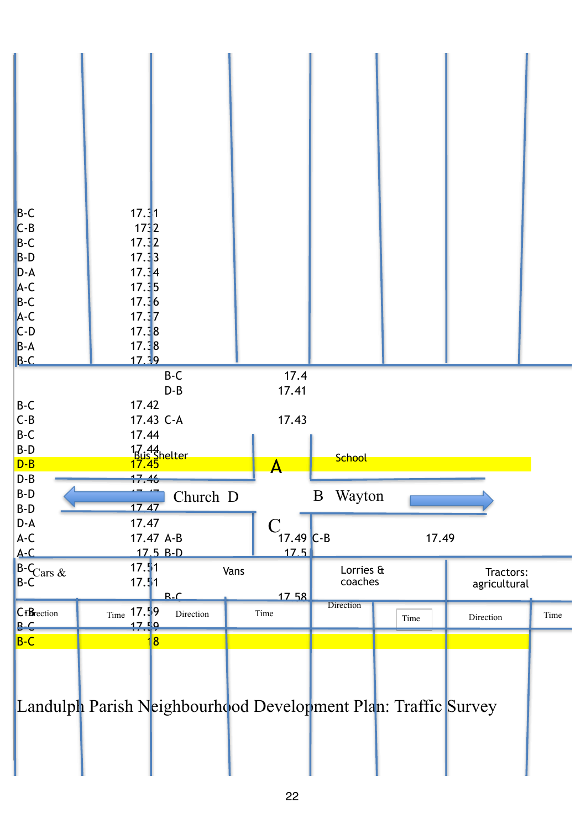| $B-C$<br>$\mathsf{C}\text{-}\mathsf{B}$<br>$B-C$<br>$B-D$<br>$\n  D-A\n$<br>$A-C$<br>$B-C$<br>$A-C$<br>$\mathsf{C}\text{-}\mathsf{D}$<br>$B-A$<br>$B-C$ | 17.31<br>1732<br>17.32<br>17.33<br>17.34<br>17.35<br>17.36<br>17.37<br>17.38<br>17.38<br><u>17.39</u> |           |                  |                        |       |              |      |
|---------------------------------------------------------------------------------------------------------------------------------------------------------|-------------------------------------------------------------------------------------------------------|-----------|------------------|------------------------|-------|--------------|------|
|                                                                                                                                                         |                                                                                                       | B-C       | 17.4             |                        |       |              |      |
|                                                                                                                                                         |                                                                                                       | $D - B$   | 17.41            |                        |       |              |      |
| $B-C$<br>$\mathsf{C}\text{-}\mathsf{B}$                                                                                                                 | 17.42<br>17.43 C-A                                                                                    |           | 17.43            |                        |       |              |      |
| $B-C$                                                                                                                                                   | 17.44                                                                                                 |           |                  |                        |       |              |      |
| $B-D$                                                                                                                                                   |                                                                                                       |           |                  |                        |       |              |      |
| $D - B$                                                                                                                                                 | 17.44<br><mark>-Bus Shelter</mark><br>17.45                                                           |           | $\blacktriangle$ | School                 |       |              |      |
| $D - B$                                                                                                                                                 | <u>17.46</u>                                                                                          |           |                  |                        |       |              |      |
| $B-D$                                                                                                                                                   |                                                                                                       | Church D  |                  | $\, {\bf B}$<br>Wayton |       |              |      |
| $B-D$                                                                                                                                                   | $17 \t17$                                                                                             |           |                  |                        |       |              |      |
| $D-A$                                                                                                                                                   | 17.47                                                                                                 |           |                  |                        |       |              |      |
| $\mathsf{A}\text{-}\mathsf{C}$                                                                                                                          | 17.47 A-B                                                                                             |           | $17.49$ C-B      |                        | 17.49 |              |      |
| $A-C$                                                                                                                                                   | $17.5 B-D$                                                                                            |           | 17.5             |                        |       |              |      |
| $B-C$ Cars &                                                                                                                                            | 17.51                                                                                                 | Vans      |                  | Lorries &              |       | Tractors:    |      |
|                                                                                                                                                         | 17.51                                                                                                 | $R-C$     | 17 58            | coaches                |       | agricultural |      |
| <b>C</b> <sub>t</sub> Brection                                                                                                                          | Time 17.59                                                                                            |           | Time             | Direction              |       |              |      |
| B-C-                                                                                                                                                    | 17.10                                                                                                 | Direction |                  |                        | Time  | Direction    | Time |
| $B-C$                                                                                                                                                   | 8                                                                                                     |           |                  |                        |       |              |      |
|                                                                                                                                                         | Landulph Parish Neighbourhood Development Plan: Traffic Survey                                        |           |                  |                        |       |              |      |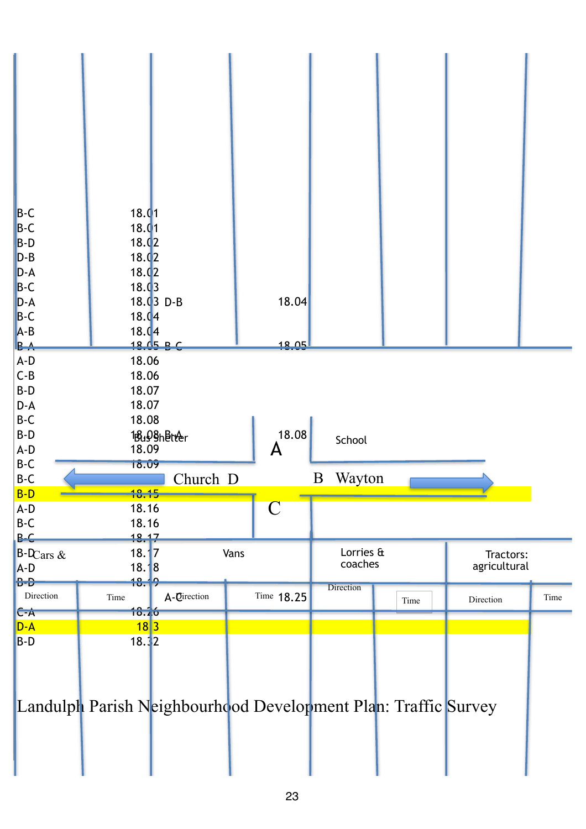| $B-C$<br>$B-C$<br>$B-D$                     | 18.01<br>18.01<br>18.02                                                 |                     |      |                         |                  |           |      |              |      |
|---------------------------------------------|-------------------------------------------------------------------------|---------------------|------|-------------------------|------------------|-----------|------|--------------|------|
| $D - B$<br>$D-A$                            | 18.02<br>18.02                                                          |                     |      |                         |                  |           |      |              |      |
| $B-C$                                       | 18.03                                                                   |                     |      |                         |                  |           |      |              |      |
| $D-A$<br>$B-C$                              | $18.03$ D-B<br>18.04                                                    |                     |      | 18.04                   |                  |           |      |              |      |
| $A - B$                                     | 18.04                                                                   |                     |      |                         |                  |           |      |              |      |
| <b>BA</b>                                   | 18.05 B C                                                               |                     |      | 18.05                   |                  |           |      |              |      |
| $A-D$                                       | 18.06                                                                   |                     |      |                         |                  |           |      |              |      |
| $C - B$<br>$B-D$                            | 18.06<br>18.07                                                          |                     |      |                         |                  |           |      |              |      |
| $D-A$                                       | 18.07                                                                   |                     |      |                         |                  |           |      |              |      |
| $B-C$                                       | 18.08                                                                   |                     |      |                         |                  |           |      |              |      |
| $B-D$                                       |                                                                         | 1Bu98hBtter         |      | 18.08                   |                  |           |      |              |      |
| $A-D$                                       | 18.09                                                                   |                     |      | A                       |                  | School    |      |              |      |
| $B-C$                                       | 18.09                                                                   |                     |      |                         |                  |           |      |              |      |
| $\mathsf{B}\text{-}\mathsf{C}$              |                                                                         | Church D            |      |                         | $\boldsymbol{B}$ | Wayton    |      |              |      |
| $B-D$                                       | <u> 18.15</u>                                                           |                     |      |                         |                  |           |      |              |      |
| $A-D$                                       | 18.16                                                                   |                     |      | $\overline{\mathsf{C}}$ |                  |           |      |              |      |
| $\mathsf{B}\text{-}\mathsf{C}$<br><b>BC</b> | 18.16<br>18.17                                                          |                     |      |                         |                  |           |      |              |      |
| $B-Cars &$                                  | 18.17                                                                   |                     | Vans |                         |                  | Lorries & |      | Tractors:    |      |
| $A-D$                                       | 18.18                                                                   |                     |      |                         |                  | coaches   |      | agricultural |      |
| <del>8-D</del>                              | 18.19                                                                   |                     |      |                         |                  | Direction |      |              |      |
| Direction                                   | Time                                                                    | A- <i>Qirection</i> |      | Time 18.25              |                  |           | Time | Direction    | Time |
| C-A                                         | 10.76                                                                   |                     |      |                         |                  |           |      |              |      |
| $D-A$                                       | 18 3                                                                    |                     |      |                         |                  |           |      |              |      |
| $B-D$                                       | 18.12<br>Landulph Parish Neighbourhood Development Plan: Traffic Survey |                     |      |                         |                  |           |      |              |      |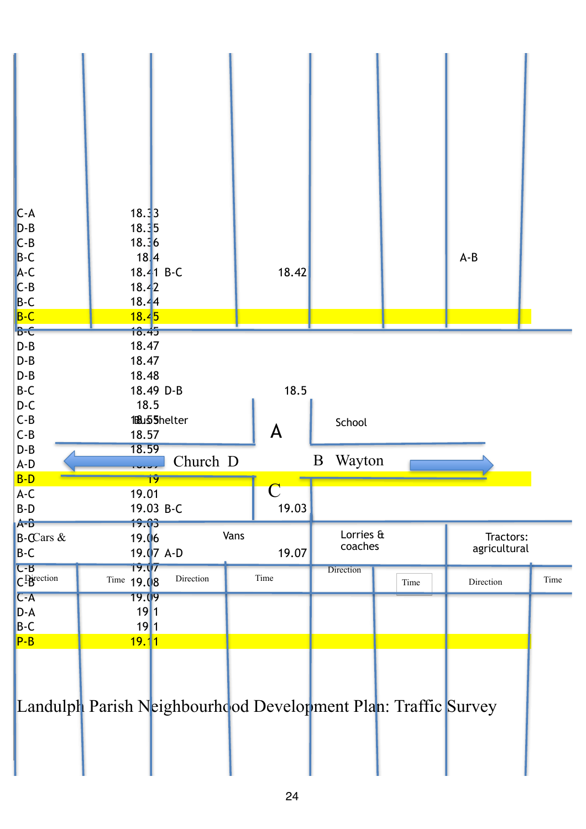| $C-A$<br>$D - B$<br>$\mathsf{C}\text{-}\mathsf{B}$ | 18.33<br>18.35<br>18.36                                        |      |                          |                      |      |                           |      |
|----------------------------------------------------|----------------------------------------------------------------|------|--------------------------|----------------------|------|---------------------------|------|
| $B-C$<br>$A-C$                                     | $18\vert 4$<br>18.41 B-C                                       |      | 18.42                    |                      |      | $A - B$                   |      |
| $\mathsf{C}\text{-}\mathsf{B}$<br>$B-C$            | 18.42<br>18.44                                                 |      |                          |                      |      |                           |      |
| $B-C$                                              | 18.45                                                          |      |                          |                      |      |                           |      |
| $b - c$                                            | 10.45                                                          |      |                          |                      |      |                           |      |
| $D - B$                                            | 18.47                                                          |      |                          |                      |      |                           |      |
| $D - B$                                            | 18.47                                                          |      |                          |                      |      |                           |      |
| $D - B$                                            | 18.48                                                          |      |                          |                      |      |                           |      |
| $B-C$                                              | 18.49 D-B                                                      |      | 18.5                     |                      |      |                           |      |
| $D-C$                                              | 18.5                                                           |      |                          |                      |      |                           |      |
| $C - B$                                            | 1Bu55helter                                                    |      |                          | School               |      |                           |      |
| $C-B$                                              | 18.57                                                          |      | $\mathsf{A}$             |                      |      |                           |      |
| $D - B$                                            | 18.59                                                          |      |                          |                      |      |                           |      |
| $A-D$                                              | Church D                                                       |      |                          | Wayton<br>B          |      |                           |      |
| $B-D$                                              | <u>19</u>                                                      |      | $\overline{\mathcal{C}}$ |                      |      |                           |      |
| $A-C$                                              | 19.01                                                          |      |                          |                      |      |                           |      |
| $B-D$                                              | 19.03 B-C                                                      |      | 19.03                    |                      |      |                           |      |
| $A - B$                                            | 19.Q3                                                          |      |                          |                      |      |                           |      |
| $B-Ccars &$                                        | 19.06                                                          | Vans |                          | Lorries &<br>coaches |      | Tractors:<br>agricultural |      |
| $B-C$                                              | $19.07$ A-D                                                    |      | 19.07                    |                      |      |                           |      |
| $C - B$<br>$C^{\text{Brection}}$                   | 19.07<br>Direction<br>Time 19.08                               |      | Time                     | Direction            | Time | Direction                 | Time |
| $C - A$                                            | 19.09                                                          |      |                          |                      |      |                           |      |
| $D-A$                                              | $19$  1                                                        |      |                          |                      |      |                           |      |
| $B-C$                                              | $19$ <sup>1</sup>                                              |      |                          |                      |      |                           |      |
| $P - B$                                            | 19.11                                                          |      |                          |                      |      |                           |      |
|                                                    | Landulph Parish Neighbourhood Development Plan: Traffic Survey |      |                          |                      |      |                           |      |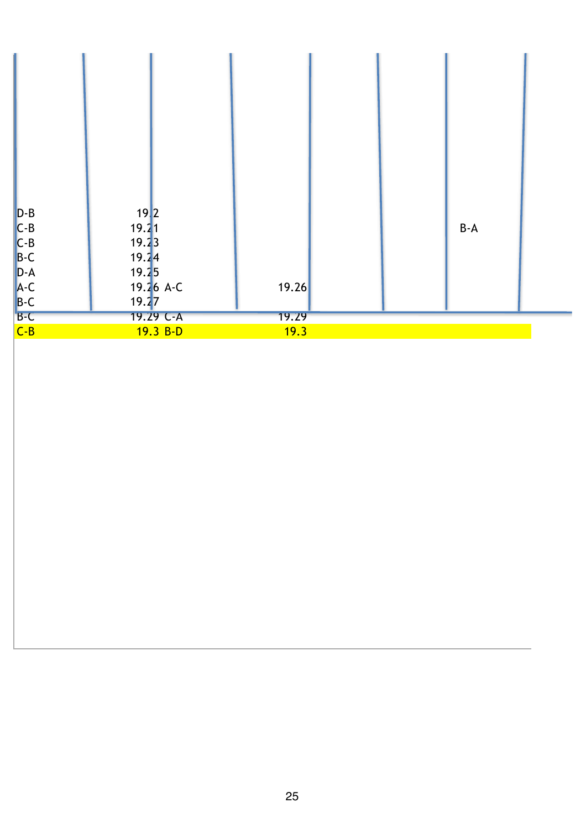| D-B<br>C-B<br>C-B<br>C-A<br>D-A<br>-C<br>B-C<br>B-C | $19$  2<br>19.21 |       | $B-A$ |
|-----------------------------------------------------|------------------|-------|-------|
|                                                     | 19.23<br>19.24   |       |       |
|                                                     | 19.25            |       |       |
|                                                     | 19.26 A-C        | 19.26 |       |
|                                                     | 19.27            |       |       |
| $B-C$                                               | 19.29 C-A        | 19.29 |       |
| $C - B$                                             | $19.3 B-D$       | 19.3  |       |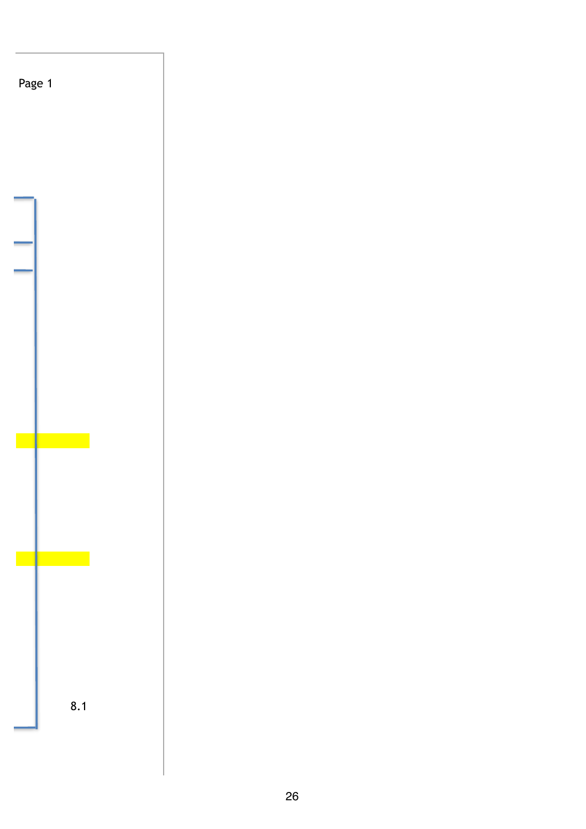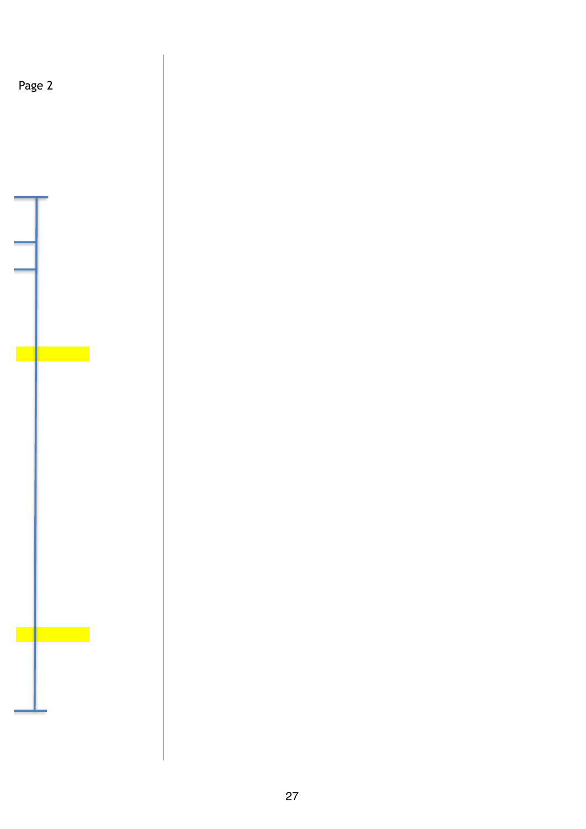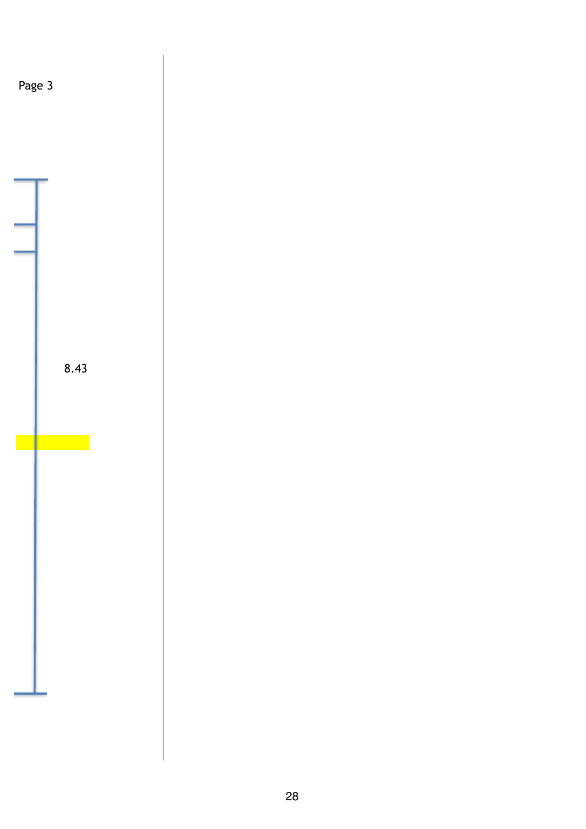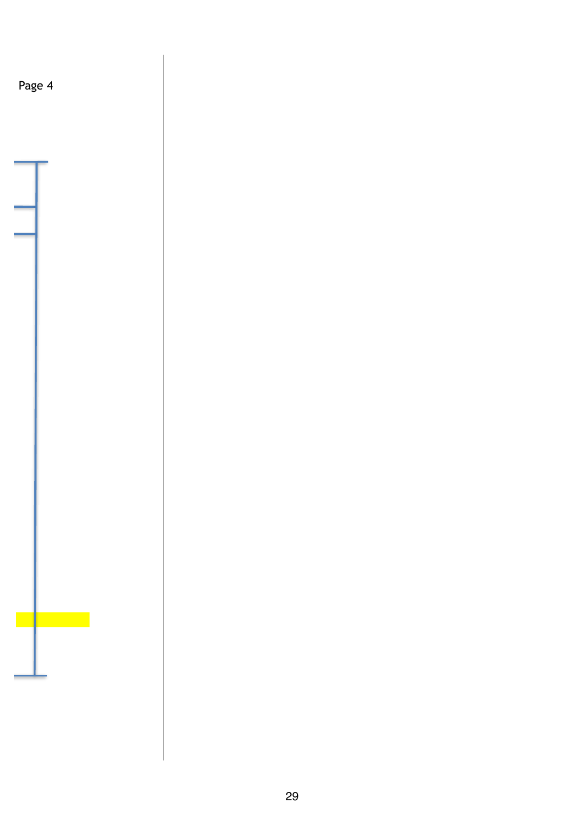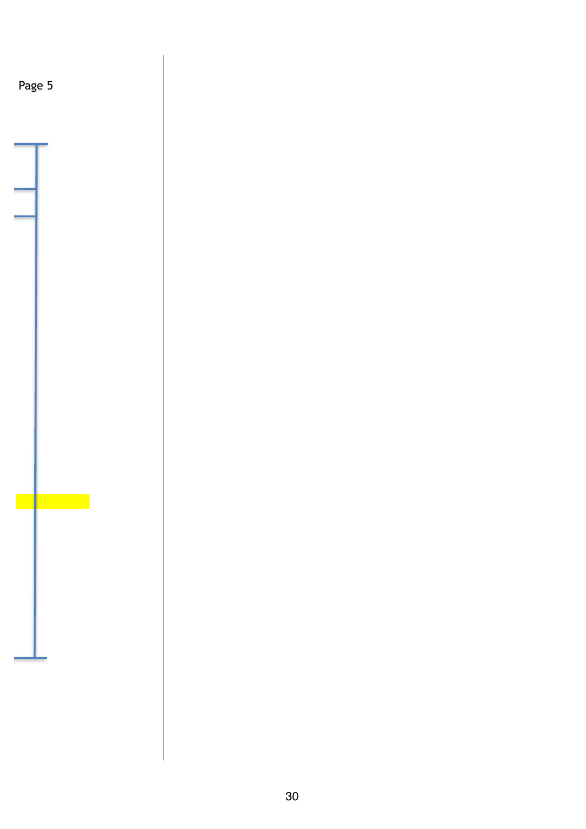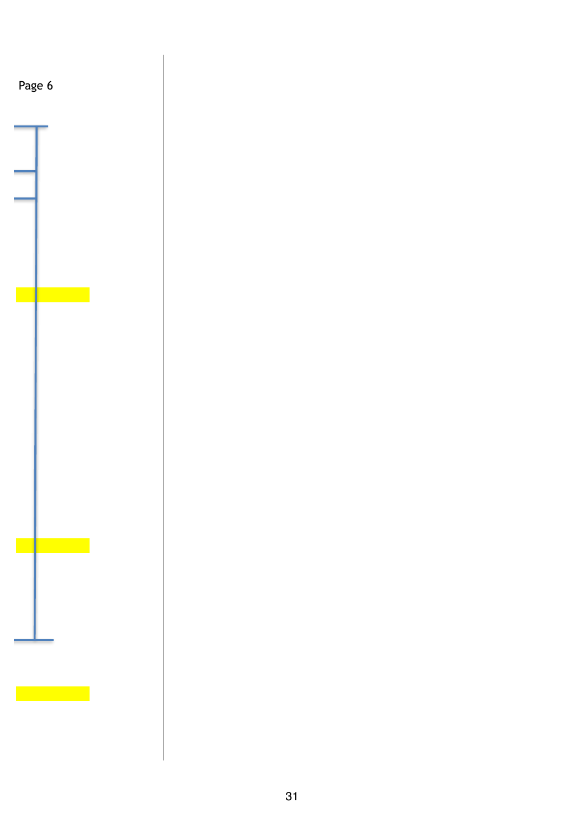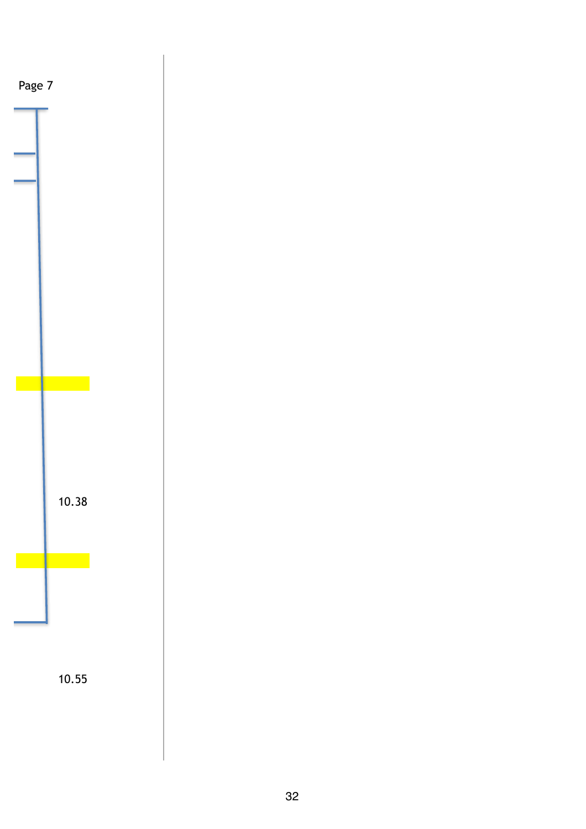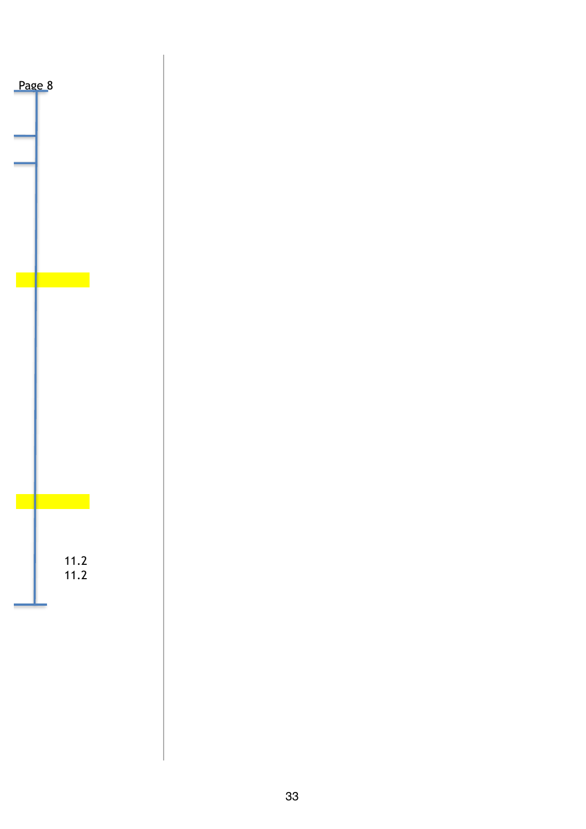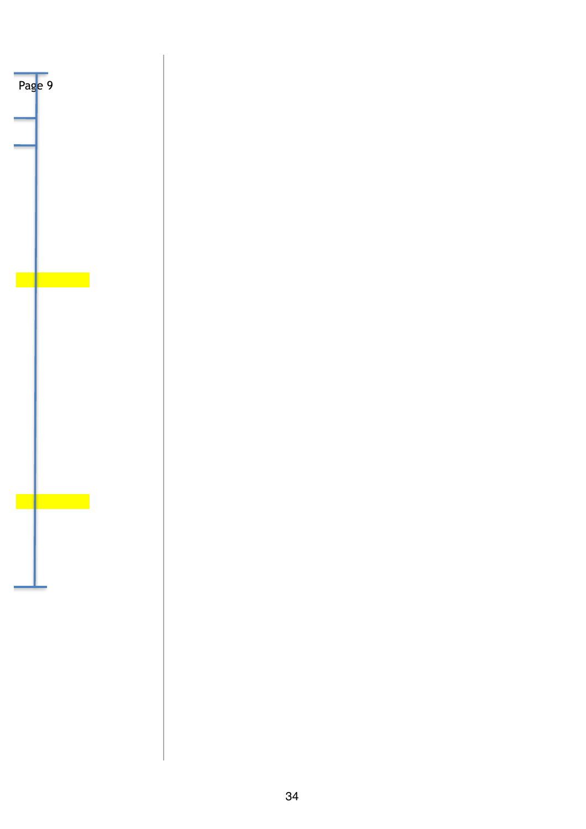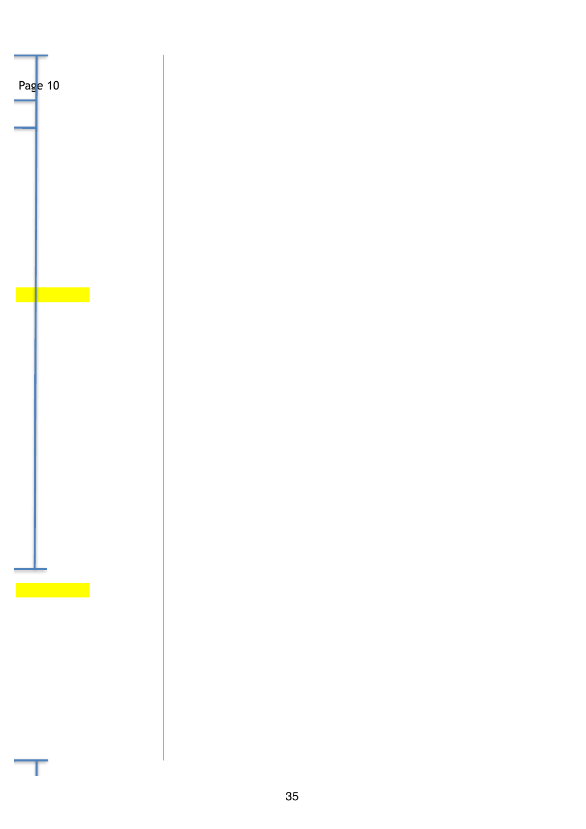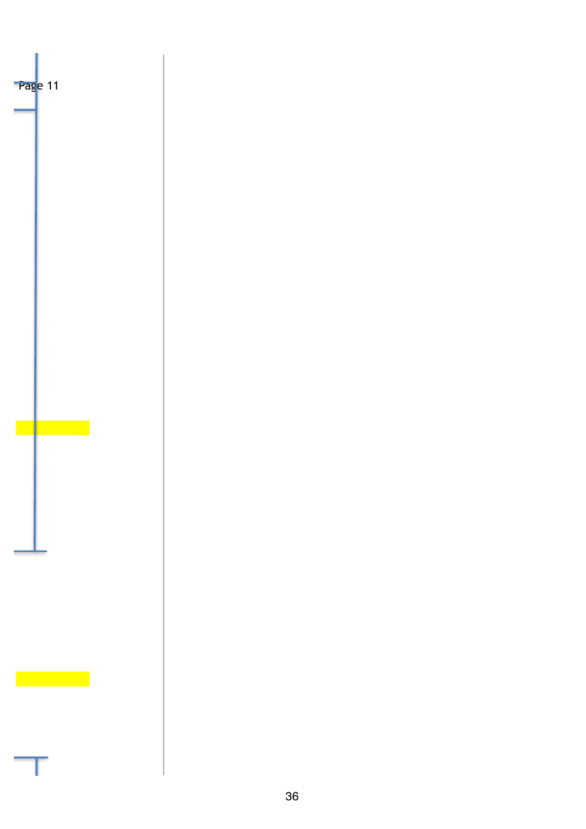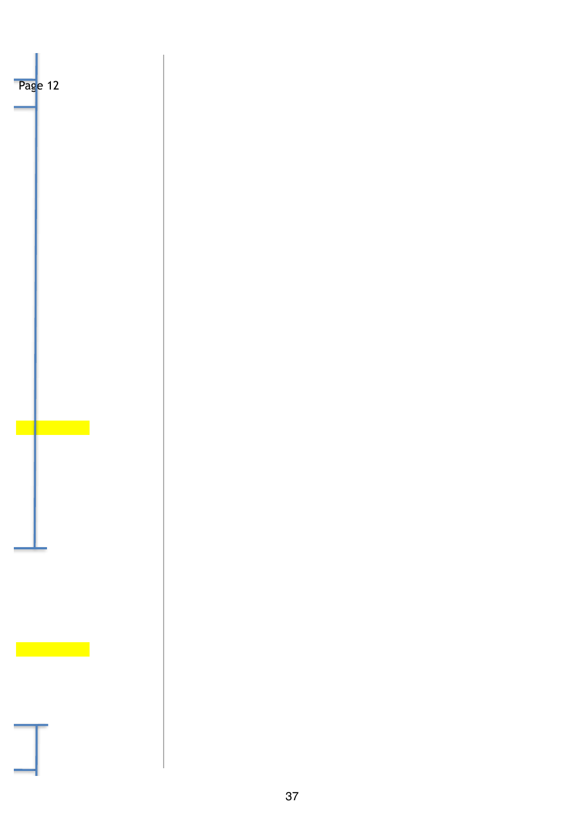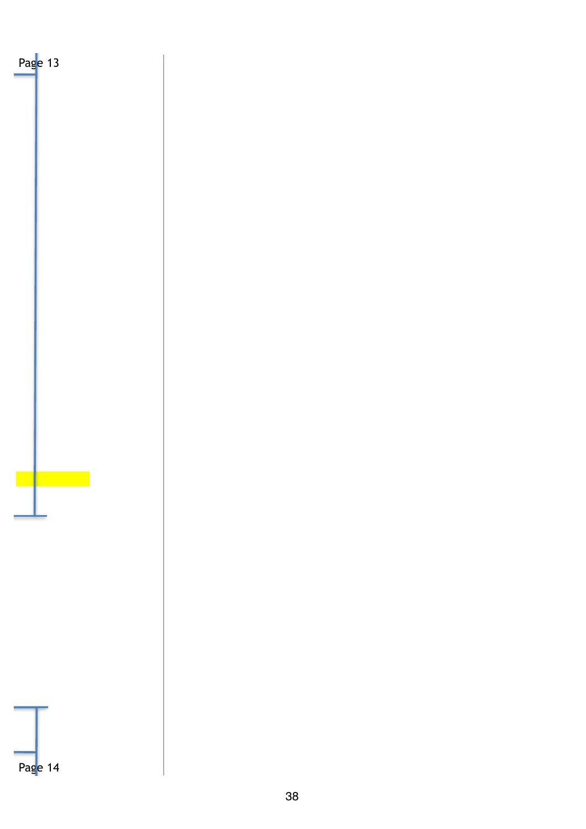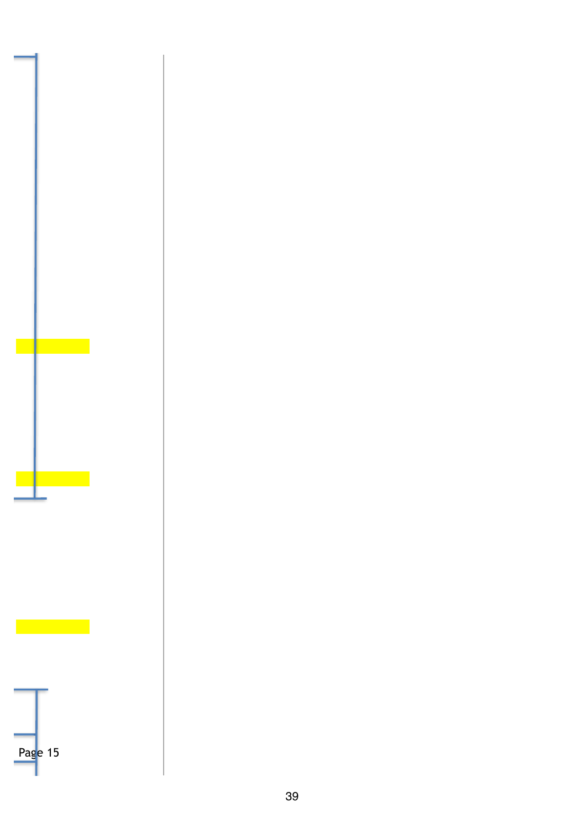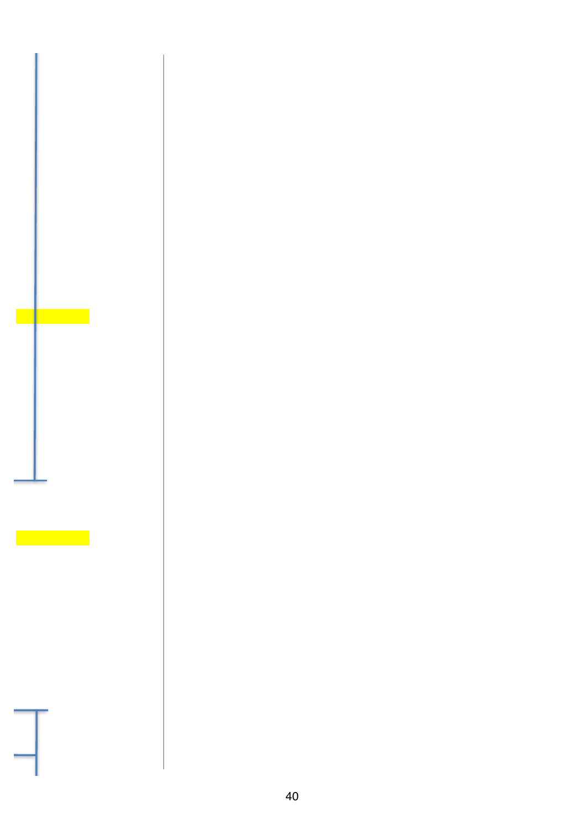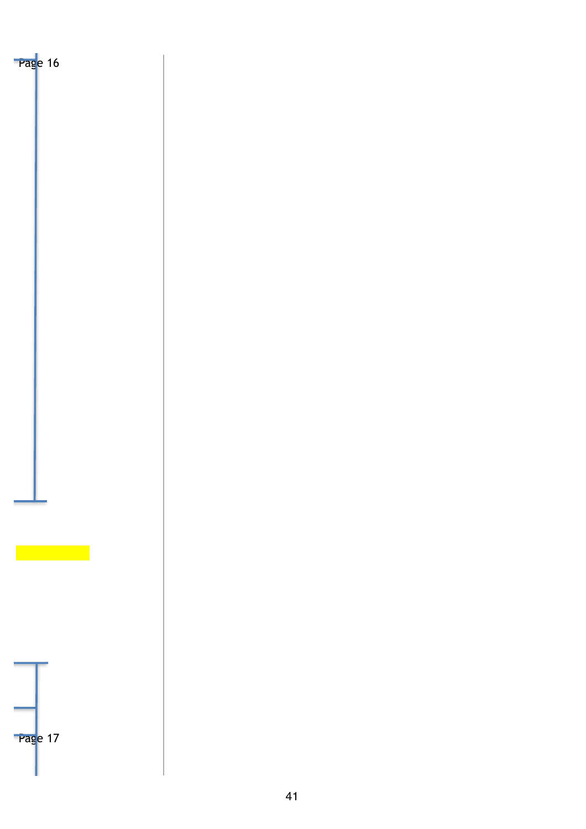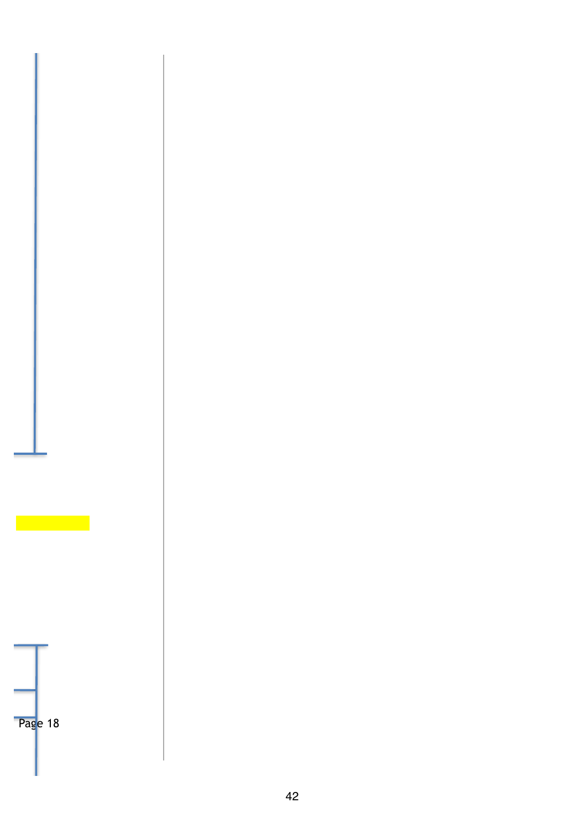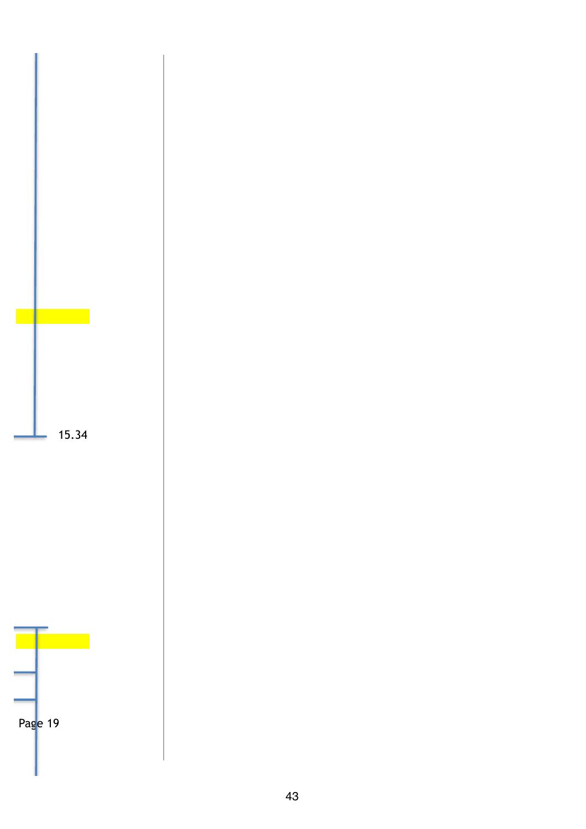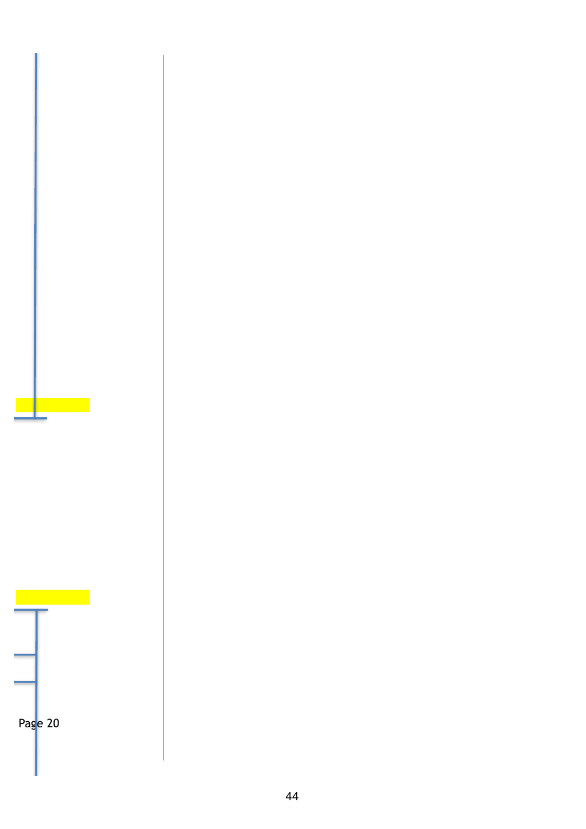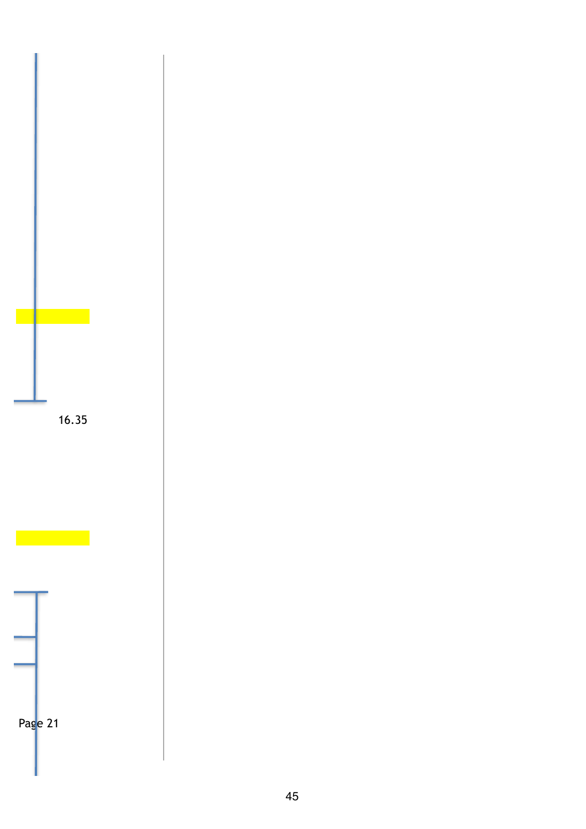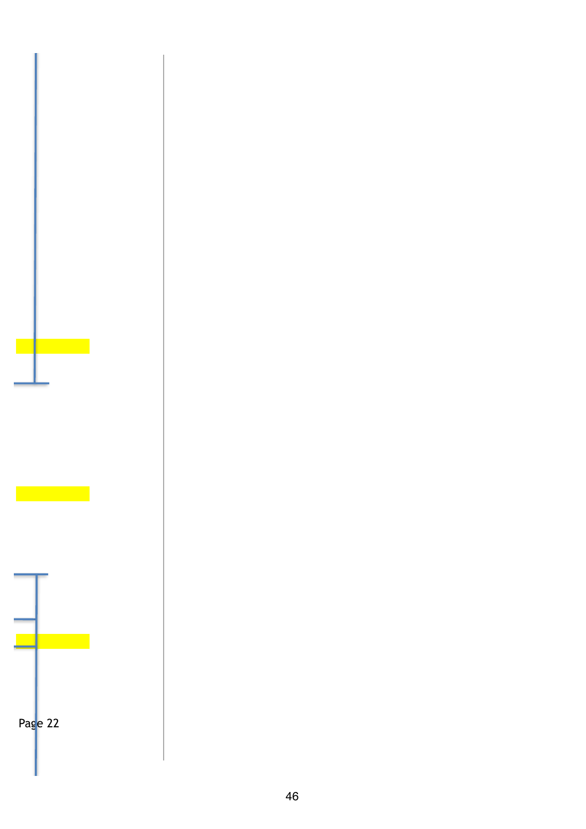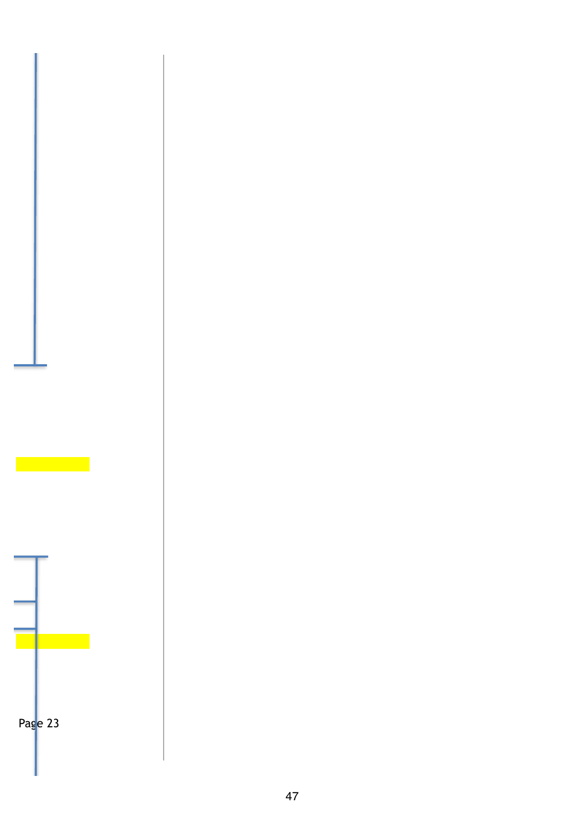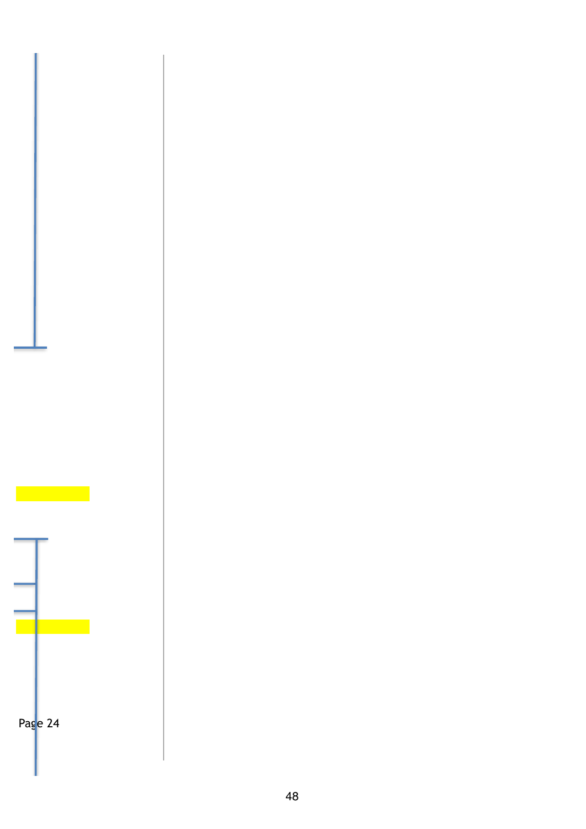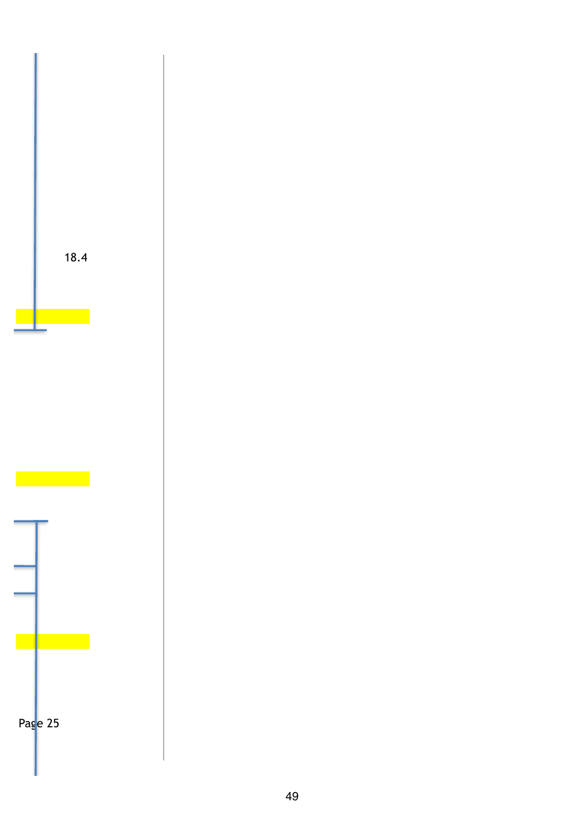![](_page_48_Figure_0.jpeg)